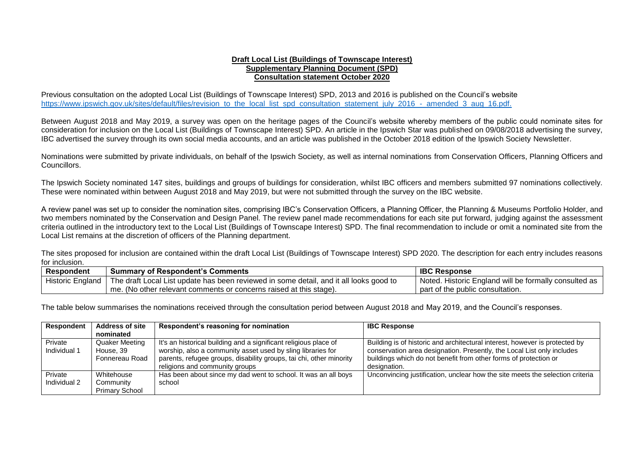## **Draft Local List (Buildings of Townscape Interest) Supplementary Planning Document (SPD) Consultation statement October 2020**

Previous consultation on the adopted Local List (Buildings of Townscape Interest) SPD, 2013 and 2016 is published on the Council's website [https://www.ipswich.gov.uk/sites/default/files/revision\\_to\\_the\\_local\\_list\\_spd\\_consultation\\_statement\\_july\\_2016\\_-\\_amended\\_3\\_aug\\_16.pdf.](https://www.ipswich.gov.uk/sites/default/files/revision_to_the_local_list_spd_consultation_statement_july_2016_-_amended_3_aug_16.pdf)

Between August 2018 and May 2019, a survey was open on the heritage pages of the Council's website whereby members of the public could nominate sites for consideration for inclusion on the Local List (Buildings of Townscape Interest) SPD. An article in the Ipswich Star was published on 09/08/2018 advertising the survey, IBC advertised the survey through its own social media accounts, and an article was published in the October 2018 edition of the Ipswich Society Newsletter.

Nominations were submitted by private individuals, on behalf of the Ipswich Society, as well as internal nominations from Conservation Officers, Planning Officers and Councillors.

The Ipswich Society nominated 147 sites, buildings and groups of buildings for consideration, whilst IBC officers and members submitted 97 nominations collectively. These were nominated within between August 2018 and May 2019, but were not submitted through the survey on the IBC website.

A review panel was set up to consider the nomination sites, comprising IBC's Conservation Officers, a Planning Officer, the Planning & Museums Portfolio Holder, and two members nominated by the Conservation and Design Panel. The review panel made recommendations for each site put forward, judging against the assessment criteria outlined in the introductory text to the Local List (Buildings of Townscape Interest) SPD. The final recommendation to include or omit a nominated site from the Local List remains at the discretion of officers of the Planning department.

The sites proposed for inclusion are contained within the draft Local List (Buildings of Townscape Interest) SPD 2020. The description for each entry includes reasons for inclusion.

| <b>Respondent</b>       | <b>Summary of Respondent's Comments</b>                                                | <b>IBC Response</b>                                   |
|-------------------------|----------------------------------------------------------------------------------------|-------------------------------------------------------|
| <b>Historic England</b> | The draft Local List update has been reviewed in some detail, and it all looks good to | Noted. Historic England will be formally consulted as |
|                         | I me. (No other relevant comments or concerns raised at this stage).                   | part of the public consultation.                      |

The table below summarises the nominations received through the consultation period between August 2018 and May 2019, and the Council's responses.

| <b>Respondent</b> | <b>Address of site</b> | Respondent's reasoning for nomination                               | <b>IBC Response</b>                                                           |
|-------------------|------------------------|---------------------------------------------------------------------|-------------------------------------------------------------------------------|
|                   | nominated              |                                                                     |                                                                               |
| Private           | <b>Quaker Meeting</b>  | It's an historical building and a significant religious place of    | Building is of historic and architectural interest, however is protected by   |
| Individual 1      | House, 39              | worship, also a community asset used by sling libraries for         | conservation area designation. Presently, the Local List only includes        |
|                   | Fonnereau Road         | parents, refugee groups, disability groups, tai chi, other minority | buildings which do not benefit from other forms of protection or              |
|                   |                        | religions and community groups                                      | designation.                                                                  |
| Private           | Whitehouse             | Has been about since my dad went to school. It was an all boys      | Unconvincing justification, unclear how the site meets the selection criteria |
| Individual 2      | Community              | school                                                              |                                                                               |
|                   | <b>Primary School</b>  |                                                                     |                                                                               |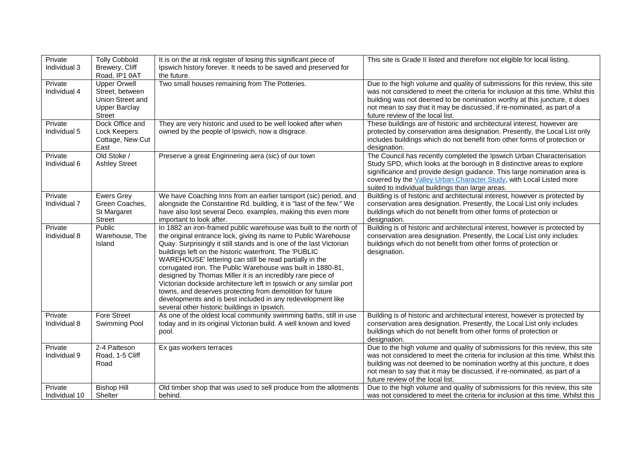| Private<br>Individual 3  | <b>Tolly Cobbold</b><br>Brewery, Cliff<br>Road, IP1 0AT                                             | It is on the at risk register of losing this significant piece of<br>Ipswich history forever. It needs to be saved and preserved for<br>the future.                                                                                                                                                                                                                                                                                                                                                                                                                                                                                                                                                               | This site is Grade II listed and therefore not eligible for local listing.                                                                                                                                                                                                                                                                                  |
|--------------------------|-----------------------------------------------------------------------------------------------------|-------------------------------------------------------------------------------------------------------------------------------------------------------------------------------------------------------------------------------------------------------------------------------------------------------------------------------------------------------------------------------------------------------------------------------------------------------------------------------------------------------------------------------------------------------------------------------------------------------------------------------------------------------------------------------------------------------------------|-------------------------------------------------------------------------------------------------------------------------------------------------------------------------------------------------------------------------------------------------------------------------------------------------------------------------------------------------------------|
| Private<br>Individual 4  | <b>Upper Orwell</b><br>Street, between<br>Union Street and<br><b>Upper Barclay</b><br><b>Street</b> | Two small houses remaining from The Potteries.                                                                                                                                                                                                                                                                                                                                                                                                                                                                                                                                                                                                                                                                    | Due to the high volume and quality of submissions for this review, this site<br>was not considered to meet the criteria for inclusion at this time. Whilst this<br>building was not deemed to be nomination worthy at this juncture, it does<br>not mean to say that it may be discussed, if re-nominated, as part of a<br>future review of the local list. |
| Private<br>Individual 5  | Dock Office and<br>Lock Keepers<br>Cottage, New Cut<br>East                                         | They are very historic and used to be well looked after when<br>owned by the people of Ipswich, now a disgrace.                                                                                                                                                                                                                                                                                                                                                                                                                                                                                                                                                                                                   | These buildings are of historic and architectural interest, however are<br>protected by conservation area designation. Presently, the Local List only<br>includes buildings which do not benefit from other forms of protection or<br>designation.                                                                                                          |
| Private<br>Individual 6  | Old Stoke /<br><b>Ashley Street</b>                                                                 | Preserve a great Enginnering aera (sic) of our town                                                                                                                                                                                                                                                                                                                                                                                                                                                                                                                                                                                                                                                               | The Council has recently completed the Ipswich Urban Characterisation<br>Study SPD, which looks at the borough in 8 distinctive areas to explore<br>significance and provide design guidance. This large nomination area is<br>covered by the Valley Urban Character Study, with Local Listed more<br>suited to individual buildings than large areas.      |
| Private<br>Individual 7  | <b>Ewers Grey</b><br>Green Coaches,<br>St Margaret<br><b>Street</b>                                 | We have Coaching Inns from an earlier tansport (sic) period, and<br>alongside the Constantine Rd. building, it is "last of the few." We<br>have also lost several Deco. examples, making this even more<br>important to look after.                                                                                                                                                                                                                                                                                                                                                                                                                                                                               | Building is of historic and architectural interest, however is protected by<br>conservation area designation. Presently, the Local List only includes<br>buildings which do not benefit from other forms of protection or<br>designation.                                                                                                                   |
| Private<br>Individual 8  | Public<br>Warehouse, The<br>Island                                                                  | In 1882 an iron-framed public warehouse was built to the north of<br>the original entrance lock, giving its name to Public Warehouse<br>Quay. Surprisingly it still stands and is one of the last Victorian<br>buildings left on the historic waterfront. The 'PUBLIC<br>WAREHOUSE' lettering can still be read partially in the<br>corrugated iron. The Public Warehouse was built in 1880-81,<br>designed by Thomas Miller it is an incredibly rare piece of<br>Victorian dockside architecture left in Ipswich or any similar port<br>towns, and deserves protecting from demolition for future<br>developments and is best included in any redevelopment like<br>several other historic buildings in Ipswich. | Building is of historic and architectural interest, however is protected by<br>conservation area designation. Presently, the Local List only includes<br>buildings which do not benefit from other forms of protection or<br>designation.                                                                                                                   |
| Private<br>Individual 8  | <b>Fore Street</b><br>Swimming Pool                                                                 | As one of the oldest local community swimming baths, still in use<br>today and in its original Victorian build. A well known and loved<br>pool.                                                                                                                                                                                                                                                                                                                                                                                                                                                                                                                                                                   | Building is of historic and architectural interest, however is protected by<br>conservation area designation. Presently, the Local List only includes<br>buildings which do not benefit from other forms of protection or<br>designation.                                                                                                                   |
| Private<br>Individual 9  | 2-4 Patteson<br>Road, 1-5 Cliff<br>Road                                                             | Ex gas workers terraces                                                                                                                                                                                                                                                                                                                                                                                                                                                                                                                                                                                                                                                                                           | Due to the high volume and quality of submissions for this review, this site<br>was not considered to meet the criteria for inclusion at this time. Whilst this<br>building was not deemed to be nomination worthy at this juncture, it does<br>not mean to say that it may be discussed, if re-nominated, as part of a<br>future review of the local list. |
| Private<br>Individual 10 | <b>Bishop Hill</b><br>Shelter                                                                       | Old timber shop that was used to sell produce from the allotments<br>behind.                                                                                                                                                                                                                                                                                                                                                                                                                                                                                                                                                                                                                                      | Due to the high volume and quality of submissions for this review, this site<br>was not considered to meet the criteria for inclusion at this time. Whilst this                                                                                                                                                                                             |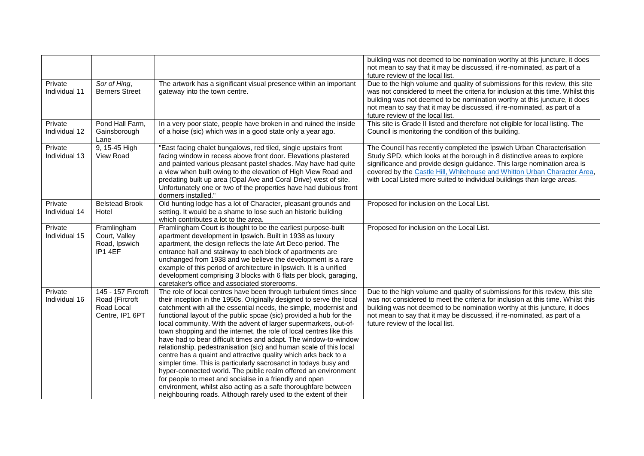|                          |                                                                       |                                                                                                                                                                                                                                                                                                                                                                                                                                                                                                                                                                                                                                                                                                                                                                                                                                                                                                                                                                                    | building was not deemed to be nomination worthy at this juncture, it does<br>not mean to say that it may be discussed, if re-nominated, as part of a<br>future review of the local list.                                                                                                                                                                                           |
|--------------------------|-----------------------------------------------------------------------|------------------------------------------------------------------------------------------------------------------------------------------------------------------------------------------------------------------------------------------------------------------------------------------------------------------------------------------------------------------------------------------------------------------------------------------------------------------------------------------------------------------------------------------------------------------------------------------------------------------------------------------------------------------------------------------------------------------------------------------------------------------------------------------------------------------------------------------------------------------------------------------------------------------------------------------------------------------------------------|------------------------------------------------------------------------------------------------------------------------------------------------------------------------------------------------------------------------------------------------------------------------------------------------------------------------------------------------------------------------------------|
| Private<br>Individual 11 | Sor of Hing,<br><b>Berners Street</b>                                 | The artwork has a significant visual presence within an important<br>gateway into the town centre.                                                                                                                                                                                                                                                                                                                                                                                                                                                                                                                                                                                                                                                                                                                                                                                                                                                                                 | Due to the high volume and quality of submissions for this review, this site<br>was not considered to meet the criteria for inclusion at this time. Whilst this<br>building was not deemed to be nomination worthy at this juncture, it does<br>not mean to say that it may be discussed, if re-nominated, as part of a<br>future review of the local list.                        |
| Private<br>Individual 12 | Pond Hall Farm,<br>Gainsborough<br>Lane                               | In a very poor state, people have broken in and ruined the inside<br>of a hoise (sic) which was in a good state only a year ago.                                                                                                                                                                                                                                                                                                                                                                                                                                                                                                                                                                                                                                                                                                                                                                                                                                                   | This site is Grade II listed and therefore not eligible for local listing. The<br>Council is monitoring the condition of this building.                                                                                                                                                                                                                                            |
| Private<br>Individual 13 | 9, 15-45 High<br>View Road                                            | "East facing chalet bungalows, red tiled, single upstairs front<br>facing window in recess above front door. Elevations plastered<br>and painted various pleasant pastel shades. May have had quite<br>a view when built owing to the elevation of High View Road and<br>predating built up area (Opal Ave and Coral Drive) west of site.<br>Unfortunately one or two of the properties have had dubious front<br>dormers installed."                                                                                                                                                                                                                                                                                                                                                                                                                                                                                                                                              | The Council has recently completed the Ipswich Urban Characterisation<br>Study SPD, which looks at the borough in 8 distinctive areas to explore<br>significance and provide design guidance. This large nomination area is<br>covered by the Castle Hill, Whitehouse and Whitton Urban Character Area,<br>with Local Listed more suited to individual buildings than large areas. |
| Private<br>Individual 14 | <b>Belstead Brook</b><br>Hotel                                        | Old hunting lodge has a lot of Character, pleasant grounds and<br>setting. It would be a shame to lose such an historic building<br>which contributes a lot to the area.                                                                                                                                                                                                                                                                                                                                                                                                                                                                                                                                                                                                                                                                                                                                                                                                           | Proposed for inclusion on the Local List.                                                                                                                                                                                                                                                                                                                                          |
| Private<br>Individual 15 | Framlingham<br>Court, Valley<br>Road, Ipswich<br>IP1 4EF              | Framlingham Court is thought to be the earliest purpose-built<br>apartment development in Ipswich. Built in 1938 as luxury<br>apartment, the design reflects the late Art Deco period. The<br>entrance hall and stairway to each block of apartments are<br>unchanged from 1938 and we believe the development is a rare<br>example of this period of architecture in Ipswich. It is a unified<br>development comprising 3 blocks with 6 flats per block, garaging,<br>caretaker's office and associated storerooms.                                                                                                                                                                                                                                                                                                                                                                                                                                                               | Proposed for inclusion on the Local List.                                                                                                                                                                                                                                                                                                                                          |
| Private<br>Individual 16 | 145 - 157 Fircroft<br>Road (Fircroft<br>Road Local<br>Centre, IP1 6PT | The role of local centres have been through turbulent times since<br>their inception in the 1950s. Originally designed to serve the local<br>catchment with all the essential needs, the simple, modernist and<br>functional layout of the public spcae (sic) provided a hub for the<br>local community. With the advent of larger supermarkets, out-of-<br>town shopping and the internet, the role of local centres like this<br>have had to bear difficult times and adapt. The window-to-window<br>relationship, pedestranisation (sic) and human scale of this local<br>centre has a quaint and attractive quality which arks back to a<br>simpler time. This is particularly sacrosanct in todays busy and<br>hyper-connected world. The public realm offered an environment<br>for people to meet and socialise in a friendly and open<br>environment, whilst also acting as a safe thoroughfare between<br>neighbouring roads. Although rarely used to the extent of their | Due to the high volume and quality of submissions for this review, this site<br>was not considered to meet the criteria for inclusion at this time. Whilst this<br>building was not deemed to be nomination worthy at this juncture, it does<br>not mean to say that it may be discussed, if re-nominated, as part of a<br>future review of the local list.                        |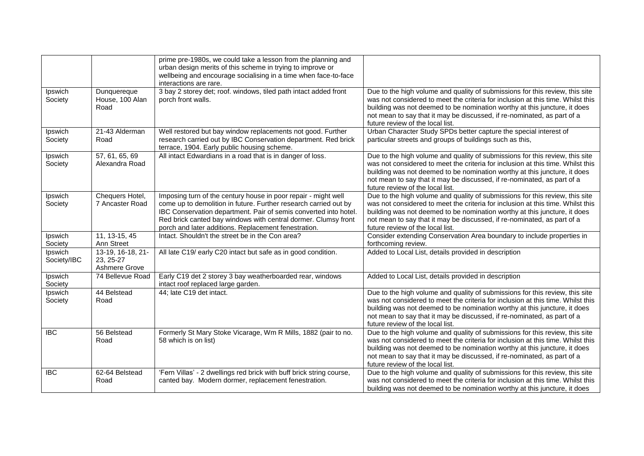|                        |                                                 | prime pre-1980s, we could take a lesson from the planning and<br>urban design merits of this scheme in trying to improve or<br>wellbeing and encourage socialising in a time when face-to-face<br>interactions are rare.                                                                                                         |                                                                                                                                                                                                                                                                                                                                                             |
|------------------------|-------------------------------------------------|----------------------------------------------------------------------------------------------------------------------------------------------------------------------------------------------------------------------------------------------------------------------------------------------------------------------------------|-------------------------------------------------------------------------------------------------------------------------------------------------------------------------------------------------------------------------------------------------------------------------------------------------------------------------------------------------------------|
| Ipswich<br>Society     | Dunquereque<br>House, 100 Alan<br>Road          | 3 bay 2 storey det; roof. windows, tiled path intact added front<br>porch front walls.                                                                                                                                                                                                                                           | Due to the high volume and quality of submissions for this review, this site<br>was not considered to meet the criteria for inclusion at this time. Whilst this<br>building was not deemed to be nomination worthy at this juncture, it does<br>not mean to say that it may be discussed, if re-nominated, as part of a<br>future review of the local list. |
| Ipswich<br>Society     | 21-43 Alderman<br>Road                          | Well restored but bay window replacements not good. Further<br>research carried out by IBC Conservation department. Red brick<br>terrace, 1904. Early public housing scheme.                                                                                                                                                     | Urban Character Study SPDs better capture the special interest of<br>particular streets and groups of buildings such as this,                                                                                                                                                                                                                               |
| Ipswich<br>Society     | 57, 61, 65, 69<br>Alexandra Road                | All intact Edwardians in a road that is in danger of loss.                                                                                                                                                                                                                                                                       | Due to the high volume and quality of submissions for this review, this site<br>was not considered to meet the criteria for inclusion at this time. Whilst this<br>building was not deemed to be nomination worthy at this juncture, it does<br>not mean to say that it may be discussed, if re-nominated, as part of a<br>future review of the local list. |
| Ipswich<br>Society     | Chequers Hotel,<br>7 Ancaster Road              | Imposing turn of the century house in poor repair - might well<br>come up to demolition in future. Further research carried out by<br>IBC Conservation department. Pair of semis converted into hotel.<br>Red brick canted bay windows with central dormer. Clumsy front<br>porch and later additions. Replacement fenestration. | Due to the high volume and quality of submissions for this review, this site<br>was not considered to meet the criteria for inclusion at this time. Whilst this<br>building was not deemed to be nomination worthy at this juncture, it does<br>not mean to say that it may be discussed, if re-nominated, as part of a<br>future review of the local list. |
| Ipswich<br>Society     | 11, 13-15, 45<br>Ann Street                     | Intact. Shouldn't the street be in the Con area?                                                                                                                                                                                                                                                                                 | Consider extending Conservation Area boundary to include properties in<br>forthcoming review.                                                                                                                                                                                                                                                               |
| Ipswich<br>Society/IBC | 13-19, 16-18, 21-<br>23, 25-27<br>Ashmere Grove | All late C19/ early C20 intact but safe as in good condition.                                                                                                                                                                                                                                                                    | Added to Local List, details provided in description                                                                                                                                                                                                                                                                                                        |
| Ipswich<br>Society     | 74 Bellevue Road                                | Early C19 det 2 storey 3 bay weatherboarded rear, windows<br>intact roof replaced large garden.                                                                                                                                                                                                                                  | Added to Local List, details provided in description                                                                                                                                                                                                                                                                                                        |
| Ipswich<br>Society     | 44 Belstead<br>Road                             | 44; late C19 det intact.                                                                                                                                                                                                                                                                                                         | Due to the high volume and quality of submissions for this review, this site<br>was not considered to meet the criteria for inclusion at this time. Whilst this<br>building was not deemed to be nomination worthy at this juncture, it does<br>not mean to say that it may be discussed, if re-nominated, as part of a<br>future review of the local list. |
| <b>IBC</b>             | 56 Belstead<br>Road                             | Formerly St Mary Stoke Vicarage, Wm R Mills, 1882 (pair to no.<br>58 which is on list)                                                                                                                                                                                                                                           | Due to the high volume and quality of submissions for this review, this site<br>was not considered to meet the criteria for inclusion at this time. Whilst this<br>building was not deemed to be nomination worthy at this juncture, it does<br>not mean to say that it may be discussed, if re-nominated, as part of a<br>future review of the local list. |
| <b>IBC</b>             | 62-64 Belstead<br>Road                          | 'Fern Villas' - 2 dwellings red brick with buff brick string course,<br>canted bay. Modern dormer, replacement fenestration.                                                                                                                                                                                                     | Due to the high volume and quality of submissions for this review, this site<br>was not considered to meet the criteria for inclusion at this time. Whilst this<br>building was not deemed to be nomination worthy at this juncture, it does                                                                                                                |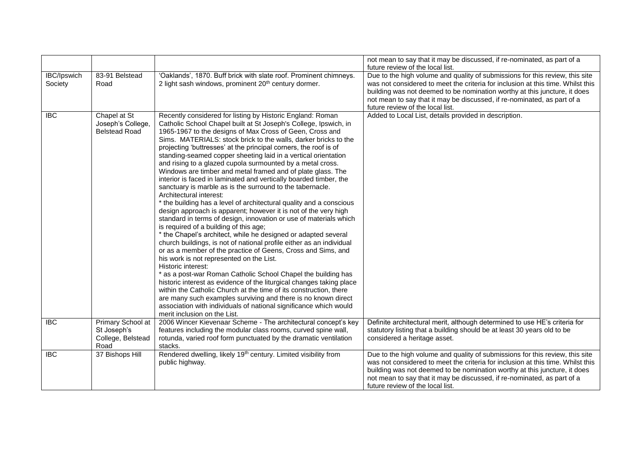|                               |                                                               |                                                                                                                                                                                                                                                                                                                                                                                                                                                                                                                                                                                                                                                                                                                                                                                                                                                                                                                                                                                                                                                                                                                                                                                                                                                                                                                                                                                                                                                                                                                                                                                                                        | not mean to say that it may be discussed, if re-nominated, as part of a<br>future review of the local list.                                                                                                                                                                                                                                                 |
|-------------------------------|---------------------------------------------------------------|------------------------------------------------------------------------------------------------------------------------------------------------------------------------------------------------------------------------------------------------------------------------------------------------------------------------------------------------------------------------------------------------------------------------------------------------------------------------------------------------------------------------------------------------------------------------------------------------------------------------------------------------------------------------------------------------------------------------------------------------------------------------------------------------------------------------------------------------------------------------------------------------------------------------------------------------------------------------------------------------------------------------------------------------------------------------------------------------------------------------------------------------------------------------------------------------------------------------------------------------------------------------------------------------------------------------------------------------------------------------------------------------------------------------------------------------------------------------------------------------------------------------------------------------------------------------------------------------------------------------|-------------------------------------------------------------------------------------------------------------------------------------------------------------------------------------------------------------------------------------------------------------------------------------------------------------------------------------------------------------|
| <b>IBC/Ipswich</b><br>Society | 83-91 Belstead<br>Road                                        | 'Oaklands', 1870. Buff brick with slate roof. Prominent chimneys.<br>2 light sash windows, prominent 20 <sup>th</sup> century dormer.                                                                                                                                                                                                                                                                                                                                                                                                                                                                                                                                                                                                                                                                                                                                                                                                                                                                                                                                                                                                                                                                                                                                                                                                                                                                                                                                                                                                                                                                                  | Due to the high volume and quality of submissions for this review, this site<br>was not considered to meet the criteria for inclusion at this time. Whilst this<br>building was not deemed to be nomination worthy at this juncture, it does<br>not mean to say that it may be discussed, if re-nominated, as part of a<br>future review of the local list. |
| <b>IBC</b>                    | Chapel at St<br>Joseph's College,<br><b>Belstead Road</b>     | Recently considered for listing by Historic England: Roman<br>Catholic School Chapel built at St Joseph's College, Ipswich, in<br>1965-1967 to the designs of Max Cross of Geen, Cross and<br>Sims. MATERIALS: stock brick to the walls, darker bricks to the<br>projecting 'buttresses' at the principal corners, the roof is of<br>standing-seamed copper sheeting laid in a vertical orientation<br>and rising to a glazed cupola surmounted by a metal cross.<br>Windows are timber and metal framed and of plate glass. The<br>interior is faced in laminated and vertically boarded timber, the<br>sanctuary is marble as is the surround to the tabernacle.<br>Architectural interest:<br>* the building has a level of architectural quality and a conscious<br>design approach is apparent; however it is not of the very high<br>standard in terms of design, innovation or use of materials which<br>is required of a building of this age;<br>* the Chapel's architect, while he designed or adapted several<br>church buildings, is not of national profile either as an individual<br>or as a member of the practice of Geens, Cross and Sims, and<br>his work is not represented on the List.<br>Historic interest:<br>* as a post-war Roman Catholic School Chapel the building has<br>historic interest as evidence of the liturgical changes taking place<br>within the Catholic Church at the time of its construction, there<br>are many such examples surviving and there is no known direct<br>association with individuals of national significance which would<br>merit inclusion on the List. | Added to Local List, details provided in description.                                                                                                                                                                                                                                                                                                       |
| <b>IBC</b>                    | Primary School at<br>St Joseph's<br>College, Belstead<br>Road | 2006 Wincer Kievenaar Scheme - The architectural concept's key<br>features including the modular class rooms, curved spine wall,<br>rotunda, varied roof form punctuated by the dramatic ventilation<br>stacks.                                                                                                                                                                                                                                                                                                                                                                                                                                                                                                                                                                                                                                                                                                                                                                                                                                                                                                                                                                                                                                                                                                                                                                                                                                                                                                                                                                                                        | Definite architectural merit, although determined to use HE's criteria for<br>statutory listing that a building should be at least 30 years old to be<br>considered a heritage asset.                                                                                                                                                                       |
| <b>IBC</b>                    | 37 Bishops Hill                                               | Rendered dwelling, likely 19 <sup>th</sup> century. Limited visibility from<br>public highway.                                                                                                                                                                                                                                                                                                                                                                                                                                                                                                                                                                                                                                                                                                                                                                                                                                                                                                                                                                                                                                                                                                                                                                                                                                                                                                                                                                                                                                                                                                                         | Due to the high volume and quality of submissions for this review, this site<br>was not considered to meet the criteria for inclusion at this time. Whilst this<br>building was not deemed to be nomination worthy at this juncture, it does<br>not mean to say that it may be discussed, if re-nominated, as part of a<br>future review of the local list. |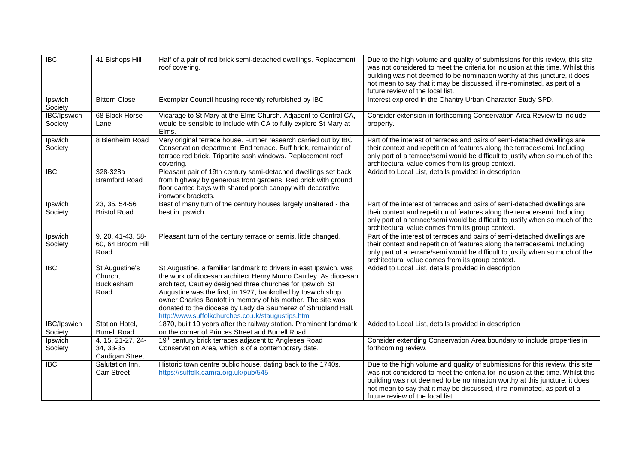| $\overline{IBC}$       | 41 Bishops Hill                                   | Half of a pair of red brick semi-detached dwellings. Replacement<br>roof covering.                                                                                                                                                                                                                                                                                                                                                                     | Due to the high volume and quality of submissions for this review, this site<br>was not considered to meet the criteria for inclusion at this time. Whilst this<br>building was not deemed to be nomination worthy at this juncture, it does<br>not mean to say that it may be discussed, if re-nominated, as part of a<br>future review of the local list. |
|------------------------|---------------------------------------------------|--------------------------------------------------------------------------------------------------------------------------------------------------------------------------------------------------------------------------------------------------------------------------------------------------------------------------------------------------------------------------------------------------------------------------------------------------------|-------------------------------------------------------------------------------------------------------------------------------------------------------------------------------------------------------------------------------------------------------------------------------------------------------------------------------------------------------------|
| Ipswich<br>Society     | <b>Bittern Close</b>                              | Exemplar Council housing recently refurbished by IBC                                                                                                                                                                                                                                                                                                                                                                                                   | Interest explored in the Chantry Urban Character Study SPD.                                                                                                                                                                                                                                                                                                 |
| IBC/Ipswich<br>Society | 68 Black Horse<br>Lane                            | Vicarage to St Mary at the Elms Church. Adjacent to Central CA,<br>would be sensible to include with CA to fully explore St Mary at<br>Elms.                                                                                                                                                                                                                                                                                                           | Consider extension in forthcoming Conservation Area Review to include<br>property.                                                                                                                                                                                                                                                                          |
| Ipswich<br>Society     | 8 Blenheim Road                                   | Very original terrace house. Further research carried out by IBC<br>Conservation department. End terrace. Buff brick, remainder of<br>terrace red brick. Tripartite sash windows. Replacement roof<br>covering.                                                                                                                                                                                                                                        | Part of the interest of terraces and pairs of semi-detached dwellings are<br>their context and repetition of features along the terrace/semi. Including<br>only part of a terrace/semi would be difficult to justify when so much of the<br>architectural value comes from its group context.                                                               |
| <b>IBC</b>             | 328-328a<br><b>Bramford Road</b>                  | Pleasant pair of 19th century semi-detached dwellings set back<br>from highway by generous front gardens. Red brick with ground<br>floor canted bays with shared porch canopy with decorative<br>ironwork brackets.                                                                                                                                                                                                                                    | Added to Local List, details provided in description                                                                                                                                                                                                                                                                                                        |
| Ipswich<br>Society     | 23, 35, 54-56<br><b>Bristol Road</b>              | Best of many turn of the century houses largely unaltered - the<br>best in Ipswich.                                                                                                                                                                                                                                                                                                                                                                    | Part of the interest of terraces and pairs of semi-detached dwellings are<br>their context and repetition of features along the terrace/semi. Including<br>only part of a terrace/semi would be difficult to justify when so much of the<br>architectural value comes from its group context.                                                               |
| Ipswich<br>Society     | 9, 20, 41-43, 58-<br>60, 64 Broom Hill<br>Road    | Pleasant turn of the century terrace or semis, little changed.                                                                                                                                                                                                                                                                                                                                                                                         | Part of the interest of terraces and pairs of semi-detached dwellings are<br>their context and repetition of features along the terrace/semi. Including<br>only part of a terrace/semi would be difficult to justify when so much of the<br>architectural value comes from its group context.                                                               |
| $\overline{BC}$        | St Augustine's<br>Church,<br>Bucklesham<br>Road   | St Augustine, a familiar landmark to drivers in east Ipswich, was<br>the work of diocesan architect Henry Munro Cautley. As diocesan<br>architect, Cautley designed three churches for Ipswich. St<br>Augustine was the first, in 1927, bankrolled by Ipswich shop<br>owner Charles Bantoft in memory of his mother. The site was<br>donated to the diocese by Lady de Saumerez of Shrubland Hall.<br>http://www.suffolkchurches.co.uk/staugustips.htm | Added to Local List, details provided in description                                                                                                                                                                                                                                                                                                        |
| IBC/Ipswich<br>Society | Station Hotel,<br><b>Burrell Road</b>             | 1870, built 10 years after the railway station. Prominent landmark<br>on the corner of Princes Street and Burrell Road.                                                                                                                                                                                                                                                                                                                                | Added to Local List, details provided in description                                                                                                                                                                                                                                                                                                        |
| Ipswich<br>Society     | 4, 15, 21-27, 24-<br>34, 33-35<br>Cardigan Street | 19th century brick terraces adjacent to Anglesea Road<br>Conservation Area, which is of a contemporary date.                                                                                                                                                                                                                                                                                                                                           | Consider extending Conservation Area boundary to include properties in<br>forthcoming review.                                                                                                                                                                                                                                                               |
| <b>IBC</b>             | Salutation Inn,<br><b>Carr Street</b>             | Historic town centre public house, dating back to the 1740s.<br>https://suffolk.camra.org.uk/pub/545                                                                                                                                                                                                                                                                                                                                                   | Due to the high volume and quality of submissions for this review, this site<br>was not considered to meet the criteria for inclusion at this time. Whilst this<br>building was not deemed to be nomination worthy at this juncture, it does<br>not mean to say that it may be discussed, if re-nominated, as part of a<br>future review of the local list. |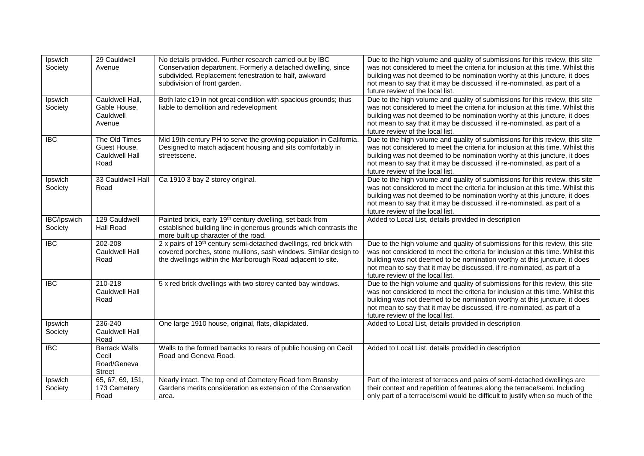| Ipswich<br>Society            | 29 Cauldwell<br>Avenue                                  | No details provided. Further research carried out by IBC<br>Conservation department. Formerly a detached dwelling, since<br>subdivided. Replacement fenestration to half, awkward<br>subdivision of front garden. | Due to the high volume and quality of submissions for this review, this site<br>was not considered to meet the criteria for inclusion at this time. Whilst this<br>building was not deemed to be nomination worthy at this juncture, it does<br>not mean to say that it may be discussed, if re-nominated, as part of a<br>future review of the local list. |
|-------------------------------|---------------------------------------------------------|-------------------------------------------------------------------------------------------------------------------------------------------------------------------------------------------------------------------|-------------------------------------------------------------------------------------------------------------------------------------------------------------------------------------------------------------------------------------------------------------------------------------------------------------------------------------------------------------|
| Ipswich<br>Society            | Cauldwell Hall,<br>Gable House,<br>Cauldwell<br>Avenue  | Both late c19 in not great condition with spacious grounds; thus<br>liable to demolition and redevelopment                                                                                                        | Due to the high volume and quality of submissions for this review, this site<br>was not considered to meet the criteria for inclusion at this time. Whilst this<br>building was not deemed to be nomination worthy at this juncture, it does<br>not mean to say that it may be discussed, if re-nominated, as part of a<br>future review of the local list. |
| <b>IBC</b>                    | The Old Times<br>Guest House,<br>Cauldwell Hall<br>Road | Mid 19th century PH to serve the growing population in California.<br>Designed to match adjacent housing and sits comfortably in<br>streetscene.                                                                  | Due to the high volume and quality of submissions for this review, this site<br>was not considered to meet the criteria for inclusion at this time. Whilst this<br>building was not deemed to be nomination worthy at this juncture, it does<br>not mean to say that it may be discussed, if re-nominated, as part of a<br>future review of the local list. |
| Ipswich<br>Society            | 33 Cauldwell Hall<br>Road                               | Ca 1910 3 bay 2 storey original.                                                                                                                                                                                  | Due to the high volume and quality of submissions for this review, this site<br>was not considered to meet the criteria for inclusion at this time. Whilst this<br>building was not deemed to be nomination worthy at this juncture, it does<br>not mean to say that it may be discussed, if re-nominated, as part of a<br>future review of the local list. |
| <b>IBC/Ipswich</b><br>Society | 129 Cauldwell<br><b>Hall Road</b>                       | Painted brick, early 19th century dwelling, set back from<br>established building line in generous grounds which contrasts the<br>more built up character of the road.                                            | Added to Local List, details provided in description                                                                                                                                                                                                                                                                                                        |
| <b>IBC</b>                    | 202-208<br>Cauldwell Hall<br>Road                       | 2 x pairs of 19 <sup>th</sup> century semi-detached dwellings, red brick with<br>covered porches, stone mullions, sash windows. Similar design to<br>the dwellings within the Marlborough Road adjacent to site.  | Due to the high volume and quality of submissions for this review, this site<br>was not considered to meet the criteria for inclusion at this time. Whilst this<br>building was not deemed to be nomination worthy at this juncture, it does<br>not mean to say that it may be discussed, if re-nominated, as part of a<br>future review of the local list. |
| <b>IBC</b>                    | $210 - 218$<br>Cauldwell Hall<br>Road                   | 5 x red brick dwellings with two storey canted bay windows.                                                                                                                                                       | Due to the high volume and quality of submissions for this review, this site<br>was not considered to meet the criteria for inclusion at this time. Whilst this<br>building was not deemed to be nomination worthy at this juncture, it does<br>not mean to say that it may be discussed, if re-nominated, as part of a<br>future review of the local list. |
| Ipswich<br>Society            | 236-240<br>Cauldwell Hall<br>Road                       | One large 1910 house, original, flats, dilapidated.                                                                                                                                                               | Added to Local List, details provided in description                                                                                                                                                                                                                                                                                                        |
| <b>IBC</b>                    | <b>Barrack Walls</b><br>Cecil<br>Road/Geneva<br>Street  | Walls to the formed barracks to rears of public housing on Cecil<br>Road and Geneva Road.                                                                                                                         | Added to Local List, details provided in description                                                                                                                                                                                                                                                                                                        |
| Ipswich<br>Society            | 65, 67, 69, 151,<br>173 Cemetery<br>Road                | Nearly intact. The top end of Cemetery Road from Bransby<br>Gardens merits consideration as extension of the Conservation<br>area.                                                                                | Part of the interest of terraces and pairs of semi-detached dwellings are<br>their context and repetition of features along the terrace/semi. Including<br>only part of a terrace/semi would be difficult to justify when so much of the                                                                                                                    |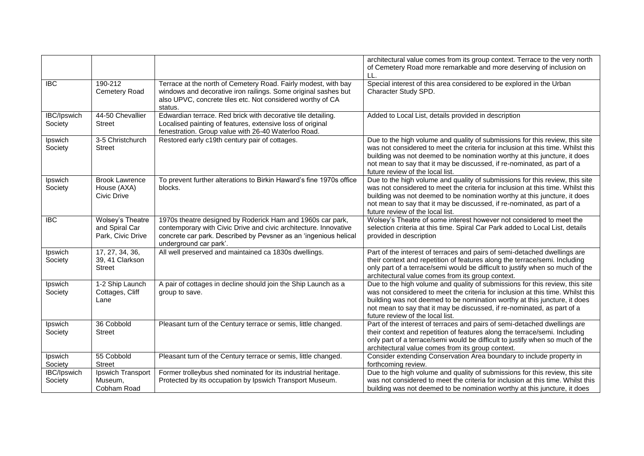|                        |                                                         |                                                                                                                                                                                                                              | architectural value comes from its group context. Terrace to the very north<br>of Cemetery Road more remarkable and more deserving of inclusion on<br>LL.                                                                                                                                                                                                   |
|------------------------|---------------------------------------------------------|------------------------------------------------------------------------------------------------------------------------------------------------------------------------------------------------------------------------------|-------------------------------------------------------------------------------------------------------------------------------------------------------------------------------------------------------------------------------------------------------------------------------------------------------------------------------------------------------------|
| <b>IBC</b>             | 190-212<br>Cemetery Road                                | Terrace at the north of Cemetery Road. Fairly modest, with bay<br>windows and decorative iron railings. Some original sashes but<br>also UPVC, concrete tiles etc. Not considered worthy of CA<br>status.                    | Special interest of this area considered to be explored in the Urban<br>Character Study SPD.                                                                                                                                                                                                                                                                |
| IBC/Ipswich<br>Society | 44-50 Chevallier<br>Street                              | Edwardian terrace. Red brick with decorative tile detailing.<br>Localised painting of features, extensive loss of original<br>fenestration. Group value with 26-40 Waterloo Road.                                            | Added to Local List, details provided in description                                                                                                                                                                                                                                                                                                        |
| Ipswich<br>Society     | 3-5 Christchurch<br><b>Street</b>                       | Restored early c19th century pair of cottages.                                                                                                                                                                               | Due to the high volume and quality of submissions for this review, this site<br>was not considered to meet the criteria for inclusion at this time. Whilst this<br>building was not deemed to be nomination worthy at this juncture, it does<br>not mean to say that it may be discussed, if re-nominated, as part of a<br>future review of the local list. |
| Ipswich<br>Society     | <b>Brook Lawrence</b><br>House (AXA)<br>Civic Drive     | To prevent further alterations to Birkin Haward's fine 1970s office<br>blocks.                                                                                                                                               | Due to the high volume and quality of submissions for this review, this site<br>was not considered to meet the criteria for inclusion at this time. Whilst this<br>building was not deemed to be nomination worthy at this juncture, it does<br>not mean to say that it may be discussed, if re-nominated, as part of a<br>future review of the local list. |
| <b>IBC</b>             | Wolsey's Theatre<br>and Spiral Car<br>Park, Civic Drive | 1970s theatre designed by Roderick Ham and 1960s car park,<br>contemporary with Civic Drive and civic architecture. Innovative<br>concrete car park. Described by Pevsner as an 'ingenious helical<br>underground car park'. | Wolsey's Theatre of some interest however not considered to meet the<br>selection criteria at this time. Spiral Car Park added to Local List, details<br>provided in description                                                                                                                                                                            |
| Ipswich<br>Society     | 17, 27, 34, 36,<br>39, 41 Clarkson<br><b>Street</b>     | All well preserved and maintained ca 1830s dwellings.                                                                                                                                                                        | Part of the interest of terraces and pairs of semi-detached dwellings are<br>their context and repetition of features along the terrace/semi. Including<br>only part of a terrace/semi would be difficult to justify when so much of the<br>architectural value comes from its group context.                                                               |
| Ipswich<br>Society     | 1-2 Ship Launch<br>Cottages, Cliff<br>Lane              | A pair of cottages in decline should join the Ship Launch as a<br>group to save.                                                                                                                                             | Due to the high volume and quality of submissions for this review, this site<br>was not considered to meet the criteria for inclusion at this time. Whilst this<br>building was not deemed to be nomination worthy at this juncture, it does<br>not mean to say that it may be discussed, if re-nominated, as part of a<br>future review of the local list. |
| Ipswich<br>Society     | 36 Cobbold<br><b>Street</b>                             | Pleasant turn of the Century terrace or semis, little changed.                                                                                                                                                               | Part of the interest of terraces and pairs of semi-detached dwellings are<br>their context and repetition of features along the terrace/semi. Including<br>only part of a terrace/semi would be difficult to justify when so much of the<br>architectural value comes from its group context.                                                               |
| Ipswich<br>Society     | 55 Cobbold<br><b>Street</b>                             | Pleasant turn of the Century terrace or semis, little changed.                                                                                                                                                               | Consider extending Conservation Area boundary to include property in<br>forthcoming review.                                                                                                                                                                                                                                                                 |
| IBC/Ipswich<br>Society | Ipswich Transport<br>Museum,<br>Cobham Road             | Former trolleybus shed nominated for its industrial heritage.<br>Protected by its occupation by Ipswich Transport Museum.                                                                                                    | Due to the high volume and quality of submissions for this review, this site<br>was not considered to meet the criteria for inclusion at this time. Whilst this<br>building was not deemed to be nomination worthy at this juncture, it does                                                                                                                |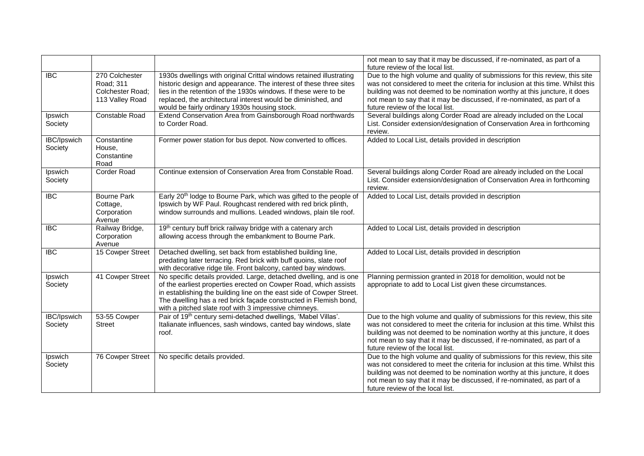|                               |                                                                    |                                                                                                                                                                                                                                                                                                                                             | not mean to say that it may be discussed, if re-nominated, as part of a<br>future review of the local list.                                                                                                                                                                                                                                                 |
|-------------------------------|--------------------------------------------------------------------|---------------------------------------------------------------------------------------------------------------------------------------------------------------------------------------------------------------------------------------------------------------------------------------------------------------------------------------------|-------------------------------------------------------------------------------------------------------------------------------------------------------------------------------------------------------------------------------------------------------------------------------------------------------------------------------------------------------------|
| <b>IBC</b>                    | 270 Colchester<br>Road; 311<br>Colchester Road;<br>113 Valley Road | 1930s dwellings with original Crittal windows retained illustrating<br>historic design and appearance. The interest of these three sites<br>lies in the retention of the 1930s windows. If these were to be<br>replaced, the architectural interest would be diminished, and<br>would be fairly ordinary 1930s housing stock.               | Due to the high volume and quality of submissions for this review, this site<br>was not considered to meet the criteria for inclusion at this time. Whilst this<br>building was not deemed to be nomination worthy at this juncture, it does<br>not mean to say that it may be discussed, if re-nominated, as part of a<br>future review of the local list. |
| Ipswich<br>Society            | Constable Road                                                     | Extend Conservation Area from Gainsborough Road northwards<br>to Corder Road.                                                                                                                                                                                                                                                               | Several buildings along Corder Road are already included on the Local<br>List. Consider extension/designation of Conservation Area in forthcoming<br>review.                                                                                                                                                                                                |
| <b>IBC/Ipswich</b><br>Society | Constantine<br>House,<br>Constantine<br>Road                       | Former power station for bus depot. Now converted to offices.                                                                                                                                                                                                                                                                               | Added to Local List, details provided in description                                                                                                                                                                                                                                                                                                        |
| Ipswich<br>Society            | <b>Corder Road</b>                                                 | Continue extension of Conservation Area from Constable Road.                                                                                                                                                                                                                                                                                | Several buildings along Corder Road are already included on the Local<br>List. Consider extension/designation of Conservation Area in forthcoming<br>review.                                                                                                                                                                                                |
| <b>IBC</b>                    | <b>Bourne Park</b><br>Cottage,<br>Corporation<br>Avenue            | Early 20 <sup>th</sup> lodge to Bourne Park, which was gifted to the people of<br>Ipswich by WF Paul. Roughcast rendered with red brick plinth,<br>window surrounds and mullions. Leaded windows, plain tile roof.                                                                                                                          | Added to Local List, details provided in description                                                                                                                                                                                                                                                                                                        |
| <b>IBC</b>                    | Railway Bridge,<br>Corporation<br>Avenue                           | 19th century buff brick railway bridge with a catenary arch<br>allowing access through the embankment to Bourne Park.                                                                                                                                                                                                                       | Added to Local List, details provided in description                                                                                                                                                                                                                                                                                                        |
| $\overline{BC}$               | 15 Cowper Street                                                   | Detached dwelling, set back from established building line,<br>predating later terracing. Red brick with buff quoins, slate roof<br>with decorative ridge tile. Front balcony, canted bay windows.                                                                                                                                          | Added to Local List, details provided in description                                                                                                                                                                                                                                                                                                        |
| Ipswich<br>Society            | 41 Cowper Street                                                   | No specific details provided. Large, detached dwelling, and is one<br>of the earliest properties erected on Cowper Road, which assists<br>in establishing the building line on the east side of Cowper Street.<br>The dwelling has a red brick façade constructed in Flemish bond,<br>with a pitched slate roof with 3 impressive chimneys. | Planning permission granted in 2018 for demolition, would not be<br>appropriate to add to Local List given these circumstances.                                                                                                                                                                                                                             |
| <b>IBC/Ipswich</b><br>Society | 53-55 Cowper<br><b>Street</b>                                      | Pair of 19th century semi-detached dwellings, 'Mabel Villas'.<br>Italianate influences, sash windows, canted bay windows, slate<br>roof.                                                                                                                                                                                                    | Due to the high volume and quality of submissions for this review, this site<br>was not considered to meet the criteria for inclusion at this time. Whilst this<br>building was not deemed to be nomination worthy at this juncture, it does<br>not mean to say that it may be discussed, if re-nominated, as part of a<br>future review of the local list. |
| Ipswich<br>Society            | <b>76 Cowper Street</b>                                            | No specific details provided.                                                                                                                                                                                                                                                                                                               | Due to the high volume and quality of submissions for this review, this site<br>was not considered to meet the criteria for inclusion at this time. Whilst this<br>building was not deemed to be nomination worthy at this juncture, it does<br>not mean to say that it may be discussed, if re-nominated, as part of a<br>future review of the local list. |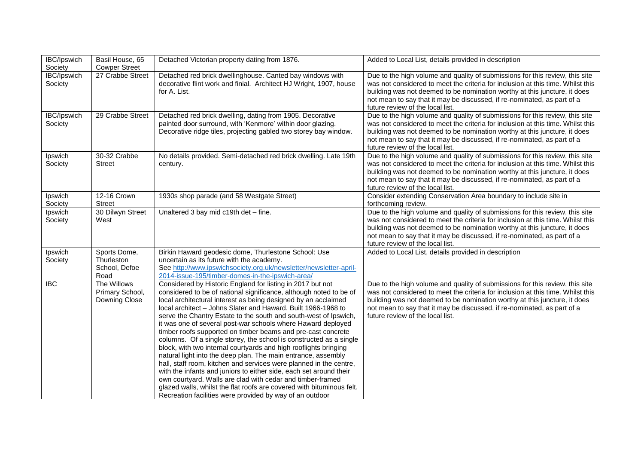| IBC/Ipswich<br>Society | Basil House, 65<br><b>Cowper Street</b>             | Detached Victorian property dating from 1876.                                                                                                                                                                                                                                                                                                                                                                                                                                                                                                                                                                                                                                                                                                                                                                                                                                                                                                                                                                                     | Added to Local List, details provided in description                                                                                                                                                                                                                                                                                                        |
|------------------------|-----------------------------------------------------|-----------------------------------------------------------------------------------------------------------------------------------------------------------------------------------------------------------------------------------------------------------------------------------------------------------------------------------------------------------------------------------------------------------------------------------------------------------------------------------------------------------------------------------------------------------------------------------------------------------------------------------------------------------------------------------------------------------------------------------------------------------------------------------------------------------------------------------------------------------------------------------------------------------------------------------------------------------------------------------------------------------------------------------|-------------------------------------------------------------------------------------------------------------------------------------------------------------------------------------------------------------------------------------------------------------------------------------------------------------------------------------------------------------|
| IBC/Ipswich<br>Society | 27 Crabbe Street                                    | Detached red brick dwellinghouse. Canted bay windows with<br>decorative flint work and finial. Architect HJ Wright, 1907, house<br>for A. List.                                                                                                                                                                                                                                                                                                                                                                                                                                                                                                                                                                                                                                                                                                                                                                                                                                                                                   | Due to the high volume and quality of submissions for this review, this site<br>was not considered to meet the criteria for inclusion at this time. Whilst this<br>building was not deemed to be nomination worthy at this juncture, it does<br>not mean to say that it may be discussed, if re-nominated, as part of a<br>future review of the local list. |
| IBC/Ipswich<br>Society | 29 Crabbe Street                                    | Detached red brick dwelling, dating from 1905. Decorative<br>painted door surround, with 'Kenmore' within door glazing.<br>Decorative ridge tiles, projecting gabled two storey bay window.                                                                                                                                                                                                                                                                                                                                                                                                                                                                                                                                                                                                                                                                                                                                                                                                                                       | Due to the high volume and quality of submissions for this review, this site<br>was not considered to meet the criteria for inclusion at this time. Whilst this<br>building was not deemed to be nomination worthy at this juncture, it does<br>not mean to say that it may be discussed, if re-nominated, as part of a<br>future review of the local list. |
| Ipswich<br>Society     | 30-32 Crabbe<br>Street                              | No details provided. Semi-detached red brick dwelling. Late 19th<br>century.                                                                                                                                                                                                                                                                                                                                                                                                                                                                                                                                                                                                                                                                                                                                                                                                                                                                                                                                                      | Due to the high volume and quality of submissions for this review, this site<br>was not considered to meet the criteria for inclusion at this time. Whilst this<br>building was not deemed to be nomination worthy at this juncture, it does<br>not mean to say that it may be discussed, if re-nominated, as part of a<br>future review of the local list. |
| Ipswich<br>Society     | 12-16 Crown<br><b>Street</b>                        | 1930s shop parade (and 58 Westgate Street)                                                                                                                                                                                                                                                                                                                                                                                                                                                                                                                                                                                                                                                                                                                                                                                                                                                                                                                                                                                        | Consider extending Conservation Area boundary to include site in<br>forthcoming review.                                                                                                                                                                                                                                                                     |
| Ipswich<br>Society     | 30 Dilwyn Street<br>West                            | Unaltered 3 bay mid c19th det - fine.                                                                                                                                                                                                                                                                                                                                                                                                                                                                                                                                                                                                                                                                                                                                                                                                                                                                                                                                                                                             | Due to the high volume and quality of submissions for this review, this site<br>was not considered to meet the criteria for inclusion at this time. Whilst this<br>building was not deemed to be nomination worthy at this juncture, it does<br>not mean to say that it may be discussed, if re-nominated, as part of a<br>future review of the local list. |
| Ipswich<br>Society     | Sports Dome,<br>Thurleston<br>School, Defoe<br>Road | Birkin Haward geodesic dome, Thurlestone School: Use<br>uncertain as its future with the academy.<br>See http://www.ipswichsociety.org.uk/newsletter/newsletter-april-<br>2014-issue-195/timber-domes-in-the-ipswich-area/                                                                                                                                                                                                                                                                                                                                                                                                                                                                                                                                                                                                                                                                                                                                                                                                        | Added to Local List, details provided in description                                                                                                                                                                                                                                                                                                        |
| $\overline{BC}$        | The Willows<br>Primary School,<br>Downing Close     | Considered by Historic England for listing in 2017 but not<br>considered to be of national significance, although noted to be of<br>local architectural interest as being designed by an acclaimed<br>local architect - Johns Slater and Haward. Built 1966-1968 to<br>serve the Chantry Estate to the south and south-west of Ipswich,<br>it was one of several post-war schools where Haward deployed<br>timber roofs supported on timber beams and pre-cast concrete<br>columns. Of a single storey, the school is constructed as a single<br>block, with two internal courtyards and high rooflights bringing<br>natural light into the deep plan. The main entrance, assembly<br>hall, staff room, kitchen and services were planned in the centre,<br>with the infants and juniors to either side, each set around their<br>own courtyard. Walls are clad with cedar and timber-framed<br>glazed walls, whilst the flat roofs are covered with bituminous felt.<br>Recreation facilities were provided by way of an outdoor | Due to the high volume and quality of submissions for this review, this site<br>was not considered to meet the criteria for inclusion at this time. Whilst this<br>building was not deemed to be nomination worthy at this juncture, it does<br>not mean to say that it may be discussed, if re-nominated, as part of a<br>future review of the local list. |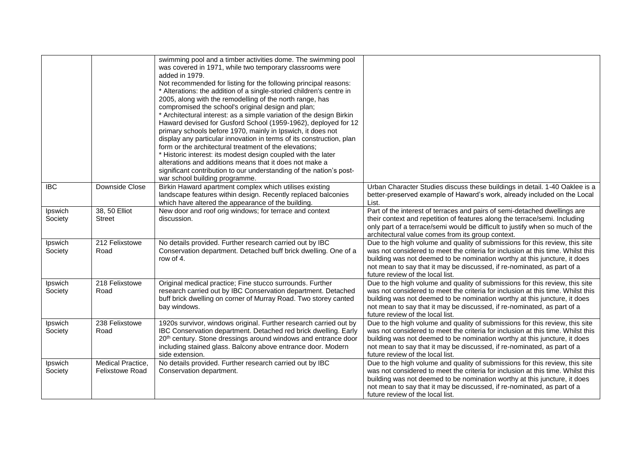|                    |                                             | swimming pool and a timber activities dome. The swimming pool<br>was covered in 1971, while two temporary classrooms were<br>added in 1979.<br>Not recommended for listing for the following principal reasons:<br>* Alterations: the addition of a single-storied children's centre in<br>2005, along with the remodelling of the north range, has<br>compromised the school's original design and plan;<br>* Architectural interest: as a simple variation of the design Birkin<br>Haward devised for Gusford School (1959-1962), deployed for 12<br>primary schools before 1970, mainly in Ipswich, it does not<br>display any particular innovation in terms of its construction, plan<br>form or the architectural treatment of the elevations:<br>* Historic interest: its modest design coupled with the later<br>alterations and additions means that it does not make a<br>significant contribution to our understanding of the nation's post-<br>war school building programme. |                                                                                                                                                                                                                                                                                                                                                             |
|--------------------|---------------------------------------------|-------------------------------------------------------------------------------------------------------------------------------------------------------------------------------------------------------------------------------------------------------------------------------------------------------------------------------------------------------------------------------------------------------------------------------------------------------------------------------------------------------------------------------------------------------------------------------------------------------------------------------------------------------------------------------------------------------------------------------------------------------------------------------------------------------------------------------------------------------------------------------------------------------------------------------------------------------------------------------------------|-------------------------------------------------------------------------------------------------------------------------------------------------------------------------------------------------------------------------------------------------------------------------------------------------------------------------------------------------------------|
| <b>IBC</b>         | Downside Close                              | Birkin Haward apartment complex which utilises existing<br>landscape features within design. Recently replaced balconies<br>which have altered the appearance of the building.                                                                                                                                                                                                                                                                                                                                                                                                                                                                                                                                                                                                                                                                                                                                                                                                            | Urban Character Studies discuss these buildings in detail. 1-40 Oaklee is a<br>better-preserved example of Haward's work, already included on the Local<br>List.                                                                                                                                                                                            |
| Ipswich<br>Society | 38, 50 Elliot<br><b>Street</b>              | New door and roof orig windows; for terrace and context<br>discussion.                                                                                                                                                                                                                                                                                                                                                                                                                                                                                                                                                                                                                                                                                                                                                                                                                                                                                                                    | Part of the interest of terraces and pairs of semi-detached dwellings are<br>their context and repetition of features along the terrace/semi. Including<br>only part of a terrace/semi would be difficult to justify when so much of the<br>architectural value comes from its group context.                                                               |
| Ipswich<br>Society | 212 Felixstowe<br>Road                      | No details provided. Further research carried out by IBC<br>Conservation department. Detached buff brick dwelling. One of a<br>row of 4.                                                                                                                                                                                                                                                                                                                                                                                                                                                                                                                                                                                                                                                                                                                                                                                                                                                  | Due to the high volume and quality of submissions for this review, this site<br>was not considered to meet the criteria for inclusion at this time. Whilst this<br>building was not deemed to be nomination worthy at this juncture, it does<br>not mean to say that it may be discussed, if re-nominated, as part of a<br>future review of the local list. |
| Ipswich<br>Society | 218 Felixstowe<br>Road                      | Original medical practice; Fine stucco surrounds. Further<br>research carried out by IBC Conservation department. Detached<br>buff brick dwelling on corner of Murray Road. Two storey canted<br>bay windows.                                                                                                                                                                                                                                                                                                                                                                                                                                                                                                                                                                                                                                                                                                                                                                             | Due to the high volume and quality of submissions for this review, this site<br>was not considered to meet the criteria for inclusion at this time. Whilst this<br>building was not deemed to be nomination worthy at this juncture, it does<br>not mean to say that it may be discussed, if re-nominated, as part of a<br>future review of the local list. |
| Ipswich<br>Society | 238 Felixstowe<br>Road                      | 1920s survivor, windows original. Further research carried out by<br>IBC Conservation department. Detached red brick dwelling. Early<br>20 <sup>th</sup> century. Stone dressings around windows and entrance door<br>including stained glass. Balcony above entrance door. Modern<br>side extension.                                                                                                                                                                                                                                                                                                                                                                                                                                                                                                                                                                                                                                                                                     | Due to the high volume and quality of submissions for this review, this site<br>was not considered to meet the criteria for inclusion at this time. Whilst this<br>building was not deemed to be nomination worthy at this juncture, it does<br>not mean to say that it may be discussed, if re-nominated, as part of a<br>future review of the local list. |
| Ipswich<br>Society | Medical Practice,<br><b>Felixstowe Road</b> | No details provided. Further research carried out by IBC<br>Conservation department.                                                                                                                                                                                                                                                                                                                                                                                                                                                                                                                                                                                                                                                                                                                                                                                                                                                                                                      | Due to the high volume and quality of submissions for this review, this site<br>was not considered to meet the criteria for inclusion at this time. Whilst this<br>building was not deemed to be nomination worthy at this juncture, it does<br>not mean to say that it may be discussed, if re-nominated, as part of a<br>future review of the local list. |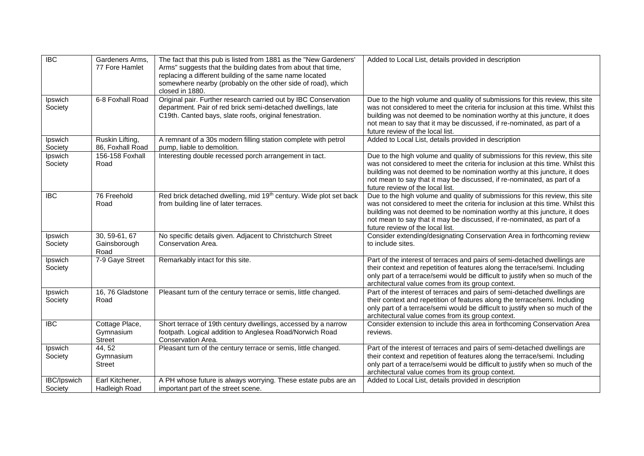| <b>IBC</b>             | Gardeners Arms,<br>77 Fore Hamlet            | The fact that this pub is listed from 1881 as the "New Gardeners'<br>Arms" suggests that the building dates from about that time,<br>replacing a different building of the same name located<br>somewhere nearby (probably on the other side of road), which<br>closed in 1880. | Added to Local List, details provided in description                                                                                                                                                                                                                                                                                                        |
|------------------------|----------------------------------------------|---------------------------------------------------------------------------------------------------------------------------------------------------------------------------------------------------------------------------------------------------------------------------------|-------------------------------------------------------------------------------------------------------------------------------------------------------------------------------------------------------------------------------------------------------------------------------------------------------------------------------------------------------------|
| Ipswich<br>Society     | 6-8 Foxhall Road                             | Original pair. Further research carried out by IBC Conservation<br>department. Pair of red brick semi-detached dwellings, late<br>C19th. Canted bays, slate roofs, original fenestration.                                                                                       | Due to the high volume and quality of submissions for this review, this site<br>was not considered to meet the criteria for inclusion at this time. Whilst this<br>building was not deemed to be nomination worthy at this juncture, it does<br>not mean to say that it may be discussed, if re-nominated, as part of a<br>future review of the local list. |
| Ipswich<br>Society     | Ruskin Lifting,<br>86, Foxhall Road          | A remnant of a 30s modern filling station complete with petrol<br>pump, liable to demolition.                                                                                                                                                                                   | Added to Local List, details provided in description                                                                                                                                                                                                                                                                                                        |
| Ipswich<br>Society     | 156-158 Foxhall<br>Road                      | Interesting double recessed porch arrangement in tact.                                                                                                                                                                                                                          | Due to the high volume and quality of submissions for this review, this site<br>was not considered to meet the criteria for inclusion at this time. Whilst this<br>building was not deemed to be nomination worthy at this juncture, it does<br>not mean to say that it may be discussed, if re-nominated, as part of a<br>future review of the local list. |
| <b>IBC</b>             | 76 Freehold<br>Road                          | Red brick detached dwelling, mid 19th century. Wide plot set back<br>from building line of later terraces.                                                                                                                                                                      | Due to the high volume and quality of submissions for this review, this site<br>was not considered to meet the criteria for inclusion at this time. Whilst this<br>building was not deemed to be nomination worthy at this juncture, it does<br>not mean to say that it may be discussed, if re-nominated, as part of a<br>future review of the local list. |
| Ipswich<br>Society     | 30, 59-61, 67<br>Gainsborough<br>Road        | No specific details given. Adjacent to Christchurch Street<br>Conservation Area.                                                                                                                                                                                                | Consider extending/designating Conservation Area in forthcoming review<br>to include sites.                                                                                                                                                                                                                                                                 |
| Ipswich<br>Society     | 7-9 Gaye Street                              | Remarkably intact for this site.                                                                                                                                                                                                                                                | Part of the interest of terraces and pairs of semi-detached dwellings are<br>their context and repetition of features along the terrace/semi. Including<br>only part of a terrace/semi would be difficult to justify when so much of the<br>architectural value comes from its group context.                                                               |
| Ipswich<br>Society     | 16, 76 Gladstone<br>Road                     | Pleasant turn of the century terrace or semis, little changed.                                                                                                                                                                                                                  | Part of the interest of terraces and pairs of semi-detached dwellings are<br>their context and repetition of features along the terrace/semi. Including<br>only part of a terrace/semi would be difficult to justify when so much of the<br>architectural value comes from its group context.                                                               |
| <b>IBC</b>             | Cottage Place,<br>Gymnasium<br><b>Street</b> | Short terrace of 19th century dwellings, accessed by a narrow<br>footpath. Logical addition to Anglesea Road/Norwich Road<br>Conservation Area.                                                                                                                                 | Consider extension to include this area in forthcoming Conservation Area<br>reviews.                                                                                                                                                                                                                                                                        |
| Ipswich<br>Society     | 44, 52<br>Gymnasium<br><b>Street</b>         | Pleasant turn of the century terrace or semis, little changed.                                                                                                                                                                                                                  | Part of the interest of terraces and pairs of semi-detached dwellings are<br>their context and repetition of features along the terrace/semi. Including<br>only part of a terrace/semi would be difficult to justify when so much of the<br>architectural value comes from its group context.                                                               |
| IBC/Ipswich<br>Society | Earl Kitchener,<br>Hadleigh Road             | A PH whose future is always worrying. These estate pubs are an<br>important part of the street scene.                                                                                                                                                                           | Added to Local List, details provided in description                                                                                                                                                                                                                                                                                                        |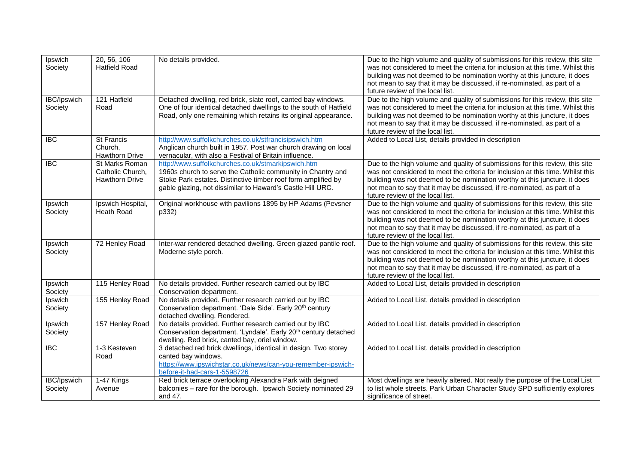| Ipswich<br>Society            | 20, 56, 106<br><b>Hatfield Road</b>                         | No details provided.                                                                                                                                                                                                                             | Due to the high volume and quality of submissions for this review, this site<br>was not considered to meet the criteria for inclusion at this time. Whilst this<br>building was not deemed to be nomination worthy at this juncture, it does<br>not mean to say that it may be discussed, if re-nominated, as part of a<br>future review of the local list. |
|-------------------------------|-------------------------------------------------------------|--------------------------------------------------------------------------------------------------------------------------------------------------------------------------------------------------------------------------------------------------|-------------------------------------------------------------------------------------------------------------------------------------------------------------------------------------------------------------------------------------------------------------------------------------------------------------------------------------------------------------|
| <b>IBC/Ipswich</b><br>Society | 121 Hatfield<br>Road                                        | Detached dwelling, red brick, slate roof, canted bay windows.<br>One of four identical detached dwellings to the south of Hatfield<br>Road, only one remaining which retains its original appearance.                                            | Due to the high volume and quality of submissions for this review, this site<br>was not considered to meet the criteria for inclusion at this time. Whilst this<br>building was not deemed to be nomination worthy at this juncture, it does<br>not mean to say that it may be discussed, if re-nominated, as part of a<br>future review of the local list. |
| <b>IBC</b>                    | <b>St Francis</b><br>Church,<br>Hawthorn Drive              | http://www.suffolkchurches.co.uk/stfrancisipswich.htm<br>Anglican church built in 1957. Post war church drawing on local<br>vernacular, with also a Festival of Britain influence.                                                               | Added to Local List, details provided in description                                                                                                                                                                                                                                                                                                        |
| <b>IBC</b>                    | St Marks Roman<br>Catholic Church,<br><b>Hawthorn Drive</b> | http://www.suffolkchurches.co.uk/stmarkipswich.htm<br>1960s church to serve the Catholic community in Chantry and<br>Stoke Park estates. Distinctive timber roof form amplified by<br>gable glazing, not dissimilar to Haward's Castle Hill URC. | Due to the high volume and quality of submissions for this review, this site<br>was not considered to meet the criteria for inclusion at this time. Whilst this<br>building was not deemed to be nomination worthy at this juncture, it does<br>not mean to say that it may be discussed, if re-nominated, as part of a<br>future review of the local list. |
| Ipswich<br>Society            | Ipswich Hospital,<br><b>Heath Road</b>                      | Original workhouse with pavilions 1895 by HP Adams (Pevsner<br>p332)                                                                                                                                                                             | Due to the high volume and quality of submissions for this review, this site<br>was not considered to meet the criteria for inclusion at this time. Whilst this<br>building was not deemed to be nomination worthy at this juncture, it does<br>not mean to say that it may be discussed, if re-nominated, as part of a<br>future review of the local list. |
| Ipswich<br>Society            | 72 Henley Road                                              | Inter-war rendered detached dwelling. Green glazed pantile roof.<br>Moderne style porch.                                                                                                                                                         | Due to the high volume and quality of submissions for this review, this site<br>was not considered to meet the criteria for inclusion at this time. Whilst this<br>building was not deemed to be nomination worthy at this juncture, it does<br>not mean to say that it may be discussed, if re-nominated, as part of a<br>future review of the local list. |
| Ipswich<br>Society            | 115 Henley Road                                             | No details provided. Further research carried out by IBC<br>Conservation department.                                                                                                                                                             | Added to Local List, details provided in description                                                                                                                                                                                                                                                                                                        |
| Ipswich<br>Society            | 155 Henley Road                                             | No details provided. Further research carried out by IBC<br>Conservation department. 'Dale Side'. Early 20 <sup>th</sup> century<br>detached dwelling. Rendered.                                                                                 | Added to Local List, details provided in description                                                                                                                                                                                                                                                                                                        |
| Ipswich<br>Society            | 157 Henley Road                                             | No details provided. Further research carried out by IBC<br>Conservation department. 'Lyndale'. Early 20 <sup>th</sup> century detached<br>dwelling. Red brick, canted bay, oriel window.                                                        | Added to Local List, details provided in description                                                                                                                                                                                                                                                                                                        |
| <b>IBC</b>                    | 1-3 Kesteven<br>Road                                        | 3 detached red brick dwellings, identical in design. Two storey<br>canted bay windows.<br>https://www.ipswichstar.co.uk/news/can-you-remember-ipswich-<br>before-it-had-cars-1-5598726                                                           | Added to Local List, details provided in description                                                                                                                                                                                                                                                                                                        |
| IBC/Ipswich<br>Society        | 1-47 Kings<br>Avenue                                        | Red brick terrace overlooking Alexandra Park with deigned<br>balconies - rare for the borough. Ipswich Society nominated 29<br>and 47.                                                                                                           | Most dwellings are heavily altered. Not really the purpose of the Local List<br>to list whole streets. Park Urban Character Study SPD sufficiently explores<br>significance of street.                                                                                                                                                                      |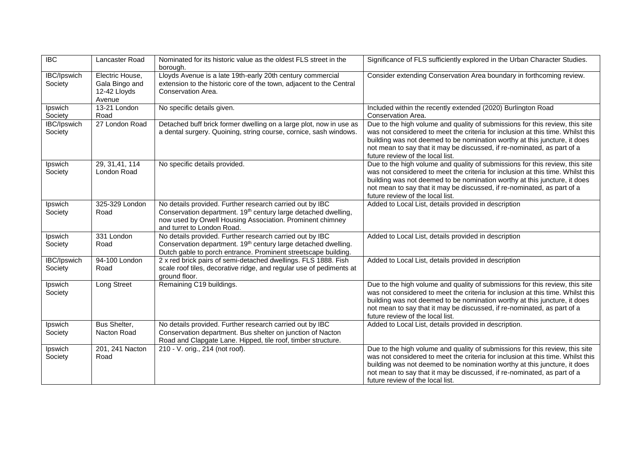| <b>IBC</b>                    | Lancaster Road                                              | Nominated for its historic value as the oldest FLS street in the<br>borough.                                                                                                                                                      | Significance of FLS sufficiently explored in the Urban Character Studies.                                                                                                                                                                                                                                                                                   |
|-------------------------------|-------------------------------------------------------------|-----------------------------------------------------------------------------------------------------------------------------------------------------------------------------------------------------------------------------------|-------------------------------------------------------------------------------------------------------------------------------------------------------------------------------------------------------------------------------------------------------------------------------------------------------------------------------------------------------------|
| <b>IBC/Ipswich</b><br>Society | Electric House,<br>Gala Bingo and<br>12-42 Lloyds<br>Avenue | Lloyds Avenue is a late 19th-early 20th century commercial<br>extension to the historic core of the town, adjacent to the Central<br>Conservation Area.                                                                           | Consider extending Conservation Area boundary in forthcoming review.                                                                                                                                                                                                                                                                                        |
| Ipswich<br>Society            | 13-21 London<br>Road                                        | No specific details given.                                                                                                                                                                                                        | Included within the recently extended (2020) Burlington Road<br>Conservation Area.                                                                                                                                                                                                                                                                          |
| IBC/Ipswich<br>Society        | 27 London Road                                              | Detached buff brick former dwelling on a large plot, now in use as<br>a dental surgery. Quoining, string course, cornice, sash windows.                                                                                           | Due to the high volume and quality of submissions for this review, this site<br>was not considered to meet the criteria for inclusion at this time. Whilst this<br>building was not deemed to be nomination worthy at this juncture, it does<br>not mean to say that it may be discussed, if re-nominated, as part of a<br>future review of the local list. |
| Ipswich<br>Society            | 29, 31, 41, 114<br>London Road                              | No specific details provided.                                                                                                                                                                                                     | Due to the high volume and quality of submissions for this review, this site<br>was not considered to meet the criteria for inclusion at this time. Whilst this<br>building was not deemed to be nomination worthy at this juncture, it does<br>not mean to say that it may be discussed, if re-nominated, as part of a<br>future review of the local list. |
| Ipswich<br>Society            | 325-329 London<br>Road                                      | No details provided. Further research carried out by IBC<br>Conservation department. 19 <sup>th</sup> century large detached dwelling,<br>now used by Orwell Housing Association. Prominent chimney<br>and turret to London Road. | Added to Local List, details provided in description                                                                                                                                                                                                                                                                                                        |
| Ipswich<br>Society            | 331 London<br>Road                                          | No details provided. Further research carried out by IBC<br>Conservation department. 19th century large detached dwelling.<br>Dutch gable to porch entrance. Prominent streetscape building.                                      | Added to Local List, details provided in description                                                                                                                                                                                                                                                                                                        |
| <b>IBC/Ipswich</b><br>Society | 94-100 London<br>Road                                       | 2 x red brick pairs of semi-detached dwellings. FLS 1888. Fish<br>scale roof tiles, decorative ridge, and regular use of pediments at<br>ground floor.                                                                            | Added to Local List, details provided in description                                                                                                                                                                                                                                                                                                        |
| Ipswich<br>Society            | Long Street                                                 | Remaining C19 buildings.                                                                                                                                                                                                          | Due to the high volume and quality of submissions for this review, this site<br>was not considered to meet the criteria for inclusion at this time. Whilst this<br>building was not deemed to be nomination worthy at this juncture, it does<br>not mean to say that it may be discussed, if re-nominated, as part of a<br>future review of the local list. |
| Ipswich<br>Society            | Bus Shelter,<br>Nacton Road                                 | No details provided. Further research carried out by IBC<br>Conservation department. Bus shelter on junction of Nacton<br>Road and Clapgate Lane. Hipped, tile roof, timber structure.                                            | Added to Local List, details provided in description.                                                                                                                                                                                                                                                                                                       |
| Ipswich<br>Society            | 201, 241 Nacton<br>Road                                     | 210 - V. orig., 214 (not roof).                                                                                                                                                                                                   | Due to the high volume and quality of submissions for this review, this site<br>was not considered to meet the criteria for inclusion at this time. Whilst this<br>building was not deemed to be nomination worthy at this juncture, it does<br>not mean to say that it may be discussed, if re-nominated, as part of a<br>future review of the local list. |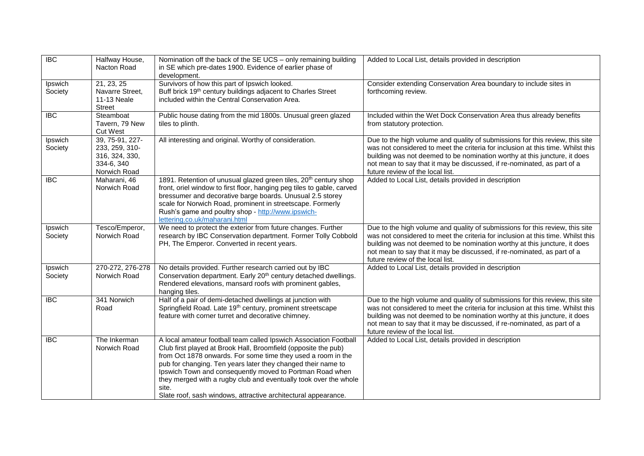| $\overline{BC}$    | Halfway House,<br>Nacton Road                                                     | Nomination off the back of the SE UCS - only remaining building<br>in SE which pre-dates 1900. Evidence of earlier phase of<br>development.                                                                                                                                                                                                                                                                                                                                    | Added to Local List, details provided in description                                                                                                                                                                                                                                                                                                        |
|--------------------|-----------------------------------------------------------------------------------|--------------------------------------------------------------------------------------------------------------------------------------------------------------------------------------------------------------------------------------------------------------------------------------------------------------------------------------------------------------------------------------------------------------------------------------------------------------------------------|-------------------------------------------------------------------------------------------------------------------------------------------------------------------------------------------------------------------------------------------------------------------------------------------------------------------------------------------------------------|
| Ipswich<br>Society | 21, 23, 25<br>Navarre Street,<br>11-13 Neale<br><b>Street</b>                     | Survivors of how this part of Ipswich looked.<br>Buff brick 19 <sup>th</sup> century buildings adjacent to Charles Street<br>included within the Central Conservation Area.                                                                                                                                                                                                                                                                                                    | Consider extending Conservation Area boundary to include sites in<br>forthcoming review.                                                                                                                                                                                                                                                                    |
| $\overline{BC}$    | Steamboat<br>Tavern, 79 New<br><b>Cut West</b>                                    | Public house dating from the mid 1800s. Unusual green glazed<br>tiles to plinth.                                                                                                                                                                                                                                                                                                                                                                                               | Included within the Wet Dock Conservation Area thus already benefits<br>from statutory protection.                                                                                                                                                                                                                                                          |
| Ipswich<br>Society | 39, 75-91, 227-<br>233, 259, 310-<br>316, 324, 330,<br>334-6, 340<br>Norwich Road | All interesting and original. Worthy of consideration.                                                                                                                                                                                                                                                                                                                                                                                                                         | Due to the high volume and quality of submissions for this review, this site<br>was not considered to meet the criteria for inclusion at this time. Whilst this<br>building was not deemed to be nomination worthy at this juncture, it does<br>not mean to say that it may be discussed, if re-nominated, as part of a<br>future review of the local list. |
| $\overline{BC}$    | Maharani, 46<br>Norwich Road                                                      | 1891. Retention of unusual glazed green tiles, 20 <sup>th</sup> century shop<br>front, oriel window to first floor, hanging peg tiles to gable, carved<br>bressumer and decorative barge boards. Unusual 2.5 storey<br>scale for Norwich Road, prominent in streetscape. Formerly<br>Rush's game and poultry shop - http://www.ipswich-<br>lettering.co.uk/maharani.html                                                                                                       | Added to Local List, details provided in description                                                                                                                                                                                                                                                                                                        |
| Ipswich<br>Society | Tesco/Emperor,<br>Norwich Road                                                    | We need to protect the exterior from future changes. Further<br>research by IBC Conservation department. Former Tolly Cobbold<br>PH, The Emperor. Converted in recent years.                                                                                                                                                                                                                                                                                                   | Due to the high volume and quality of submissions for this review, this site<br>was not considered to meet the criteria for inclusion at this time. Whilst this<br>building was not deemed to be nomination worthy at this juncture, it does<br>not mean to say that it may be discussed, if re-nominated, as part of a<br>future review of the local list. |
| Ipswich<br>Society | 270-272, 276-278<br>Norwich Road                                                  | No details provided. Further research carried out by IBC<br>Conservation department. Early 20 <sup>th</sup> century detached dwellings.<br>Rendered elevations, mansard roofs with prominent gables,<br>hanging tiles.                                                                                                                                                                                                                                                         | Added to Local List, details provided in description                                                                                                                                                                                                                                                                                                        |
| <b>IBC</b>         | 341 Norwich<br>Road                                                               | Half of a pair of demi-detached dwellings at junction with<br>Springfield Road. Late 19 <sup>th</sup> century, prominent streetscape<br>feature with corner turret and decorative chimney.                                                                                                                                                                                                                                                                                     | Due to the high volume and quality of submissions for this review, this site<br>was not considered to meet the criteria for inclusion at this time. Whilst this<br>building was not deemed to be nomination worthy at this juncture, it does<br>not mean to say that it may be discussed, if re-nominated, as part of a<br>future review of the local list. |
| <b>IBC</b>         | The Inkerman<br>Norwich Road                                                      | A local amateur football team called Ipswich Association Football<br>Club first played at Brook Hall, Broomfield (opposite the pub)<br>from Oct 1878 onwards. For some time they used a room in the<br>pub for changing. Ten years later they changed their name to<br>Ipswich Town and consequently moved to Portman Road when<br>they merged with a rugby club and eventually took over the whole<br>site.<br>Slate roof, sash windows, attractive architectural appearance. | Added to Local List, details provided in description                                                                                                                                                                                                                                                                                                        |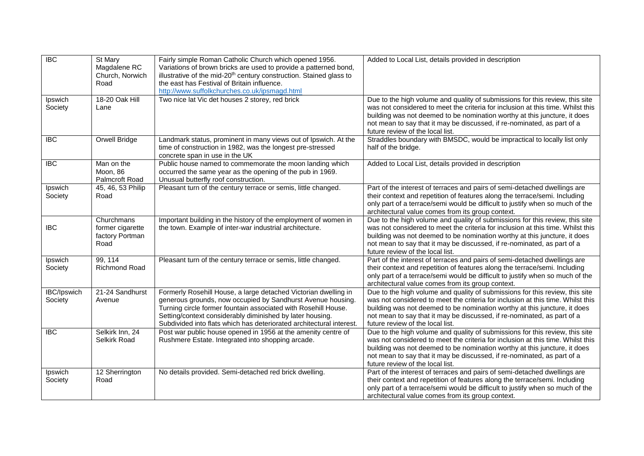| $\overline{IBC}$       | St Mary<br>Magdalene RC<br>Church, Norwich<br>Road        | Fairly simple Roman Catholic Church which opened 1956.<br>Variations of brown bricks are used to provide a patterned bond,<br>illustrative of the mid-20 <sup>th</sup> century construction. Stained glass to<br>the east has Festival of Britain influence.<br>http://www.suffolkchurches.co.uk/ipsmagd.html                         | Added to Local List, details provided in description                                                                                                                                                                                                                                                                                                        |
|------------------------|-----------------------------------------------------------|---------------------------------------------------------------------------------------------------------------------------------------------------------------------------------------------------------------------------------------------------------------------------------------------------------------------------------------|-------------------------------------------------------------------------------------------------------------------------------------------------------------------------------------------------------------------------------------------------------------------------------------------------------------------------------------------------------------|
| Ipswich<br>Society     | 18-20 Oak Hill<br>Lane                                    | Two nice lat Vic det houses 2 storey, red brick                                                                                                                                                                                                                                                                                       | Due to the high volume and quality of submissions for this review, this site<br>was not considered to meet the criteria for inclusion at this time. Whilst this<br>building was not deemed to be nomination worthy at this juncture, it does<br>not mean to say that it may be discussed, if re-nominated, as part of a<br>future review of the local list. |
| <b>IBC</b>             | Orwell Bridge                                             | Landmark status, prominent in many views out of Ipswich. At the<br>time of construction in 1982, was the longest pre-stressed<br>concrete span in use in the UK                                                                                                                                                                       | Straddles boundary with BMSDC, would be impractical to locally list only<br>half of the bridge.                                                                                                                                                                                                                                                             |
| $\overline{IBC}$       | Man on the<br>Moon, 86<br>Palmcroft Road                  | Public house named to commemorate the moon landing which<br>occurred the same year as the opening of the pub in 1969.<br>Unusual butterfly roof construction.                                                                                                                                                                         | Added to Local List, details provided in description                                                                                                                                                                                                                                                                                                        |
| Ipswich<br>Society     | 45, 46, 53 Philip<br>Road                                 | Pleasant turn of the century terrace or semis, little changed.                                                                                                                                                                                                                                                                        | Part of the interest of terraces and pairs of semi-detached dwellings are<br>their context and repetition of features along the terrace/semi. Including<br>only part of a terrace/semi would be difficult to justify when so much of the<br>architectural value comes from its group context.                                                               |
| <b>IBC</b>             | Churchmans<br>former cigarette<br>factory Portman<br>Road | Important building in the history of the employment of women in<br>the town. Example of inter-war industrial architecture.                                                                                                                                                                                                            | Due to the high volume and quality of submissions for this review, this site<br>was not considered to meet the criteria for inclusion at this time. Whilst this<br>building was not deemed to be nomination worthy at this juncture, it does<br>not mean to say that it may be discussed, if re-nominated, as part of a<br>future review of the local list. |
| Ipswich<br>Society     | 99, 114<br><b>Richmond Road</b>                           | Pleasant turn of the century terrace or semis, little changed.                                                                                                                                                                                                                                                                        | Part of the interest of terraces and pairs of semi-detached dwellings are<br>their context and repetition of features along the terrace/semi. Including<br>only part of a terrace/semi would be difficult to justify when so much of the<br>architectural value comes from its group context.                                                               |
| IBC/Ipswich<br>Society | 21-24 Sandhurst<br>Avenue                                 | Formerly Rosehill House, a large detached Victorian dwelling in<br>generous grounds, now occupied by Sandhurst Avenue housing.<br>Turning circle former fountain associated with Rosehill House.<br>Setting/context considerably diminished by later housing.<br>Subdivided into flats which has deteriorated architectural interest. | Due to the high volume and quality of submissions for this review, this site<br>was not considered to meet the criteria for inclusion at this time. Whilst this<br>building was not deemed to be nomination worthy at this juncture, it does<br>not mean to say that it may be discussed, if re-nominated, as part of a<br>future review of the local list. |
| <b>IBC</b>             | Selkirk Inn, 24<br>Selkirk Road                           | Post war public house opened in 1956 at the amenity centre of<br>Rushmere Estate. Integrated into shopping arcade.                                                                                                                                                                                                                    | Due to the high volume and quality of submissions for this review, this site<br>was not considered to meet the criteria for inclusion at this time. Whilst this<br>building was not deemed to be nomination worthy at this juncture, it does<br>not mean to say that it may be discussed, if re-nominated, as part of a<br>future review of the local list. |
| Ipswich<br>Society     | 12 Sherrington<br>Road                                    | No details provided. Semi-detached red brick dwelling.                                                                                                                                                                                                                                                                                | Part of the interest of terraces and pairs of semi-detached dwellings are<br>their context and repetition of features along the terrace/semi. Including<br>only part of a terrace/semi would be difficult to justify when so much of the<br>architectural value comes from its group context.                                                               |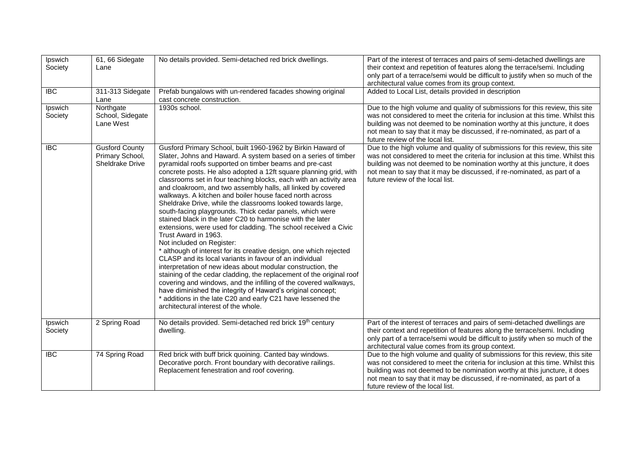| Ipswich<br>Society | 61, 66 Sidegate<br>Lane                                     | No details provided. Semi-detached red brick dwellings.                                                                                                                                                                                                                                                                                                                                                                                                                                                                                                                                                                                                                                                                                                                                                                                                                                                                                                                                                                                                                                                                                                                                                                                                                                          | Part of the interest of terraces and pairs of semi-detached dwellings are<br>their context and repetition of features along the terrace/semi. Including<br>only part of a terrace/semi would be difficult to justify when so much of the<br>architectural value comes from its group context.                                                               |
|--------------------|-------------------------------------------------------------|--------------------------------------------------------------------------------------------------------------------------------------------------------------------------------------------------------------------------------------------------------------------------------------------------------------------------------------------------------------------------------------------------------------------------------------------------------------------------------------------------------------------------------------------------------------------------------------------------------------------------------------------------------------------------------------------------------------------------------------------------------------------------------------------------------------------------------------------------------------------------------------------------------------------------------------------------------------------------------------------------------------------------------------------------------------------------------------------------------------------------------------------------------------------------------------------------------------------------------------------------------------------------------------------------|-------------------------------------------------------------------------------------------------------------------------------------------------------------------------------------------------------------------------------------------------------------------------------------------------------------------------------------------------------------|
| <b>IBC</b>         | 311-313 Sidegate<br>Lane                                    | Prefab bungalows with un-rendered facades showing original<br>cast concrete construction.                                                                                                                                                                                                                                                                                                                                                                                                                                                                                                                                                                                                                                                                                                                                                                                                                                                                                                                                                                                                                                                                                                                                                                                                        | Added to Local List, details provided in description                                                                                                                                                                                                                                                                                                        |
| Ipswich<br>Society | Northgate<br>School, Sidegate<br>Lane West                  | 1930s school.                                                                                                                                                                                                                                                                                                                                                                                                                                                                                                                                                                                                                                                                                                                                                                                                                                                                                                                                                                                                                                                                                                                                                                                                                                                                                    | Due to the high volume and quality of submissions for this review, this site<br>was not considered to meet the criteria for inclusion at this time. Whilst this<br>building was not deemed to be nomination worthy at this juncture, it does<br>not mean to say that it may be discussed, if re-nominated, as part of a<br>future review of the local list. |
| $\overline{IBC}$   | <b>Gusford County</b><br>Primary School,<br>Sheldrake Drive | Gusford Primary School, built 1960-1962 by Birkin Haward of<br>Slater, Johns and Haward. A system based on a series of timber<br>pyramidal roofs supported on timber beams and pre-cast<br>concrete posts. He also adopted a 12ft square planning grid, with<br>classrooms set in four teaching blocks, each with an activity area<br>and cloakroom, and two assembly halls, all linked by covered<br>walkways. A kitchen and boiler house faced north across<br>Sheldrake Drive, while the classrooms looked towards large,<br>south-facing playgrounds. Thick cedar panels, which were<br>stained black in the later C20 to harmonise with the later<br>extensions, were used for cladding. The school received a Civic<br>Trust Award in 1963.<br>Not included on Register:<br>* although of interest for its creative design, one which rejected<br>CLASP and its local variants in favour of an individual<br>interpretation of new ideas about modular construction, the<br>staining of the cedar cladding, the replacement of the original roof<br>covering and windows, and the infilling of the covered walkways,<br>have diminished the integrity of Haward's original concept;<br>* additions in the late C20 and early C21 have lessened the<br>architectural interest of the whole. | Due to the high volume and quality of submissions for this review, this site<br>was not considered to meet the criteria for inclusion at this time. Whilst this<br>building was not deemed to be nomination worthy at this juncture, it does<br>not mean to say that it may be discussed, if re-nominated, as part of a<br>future review of the local list. |
| Ipswich<br>Society | 2 Spring Road                                               | No details provided. Semi-detached red brick 19th century<br>dwelling.                                                                                                                                                                                                                                                                                                                                                                                                                                                                                                                                                                                                                                                                                                                                                                                                                                                                                                                                                                                                                                                                                                                                                                                                                           | Part of the interest of terraces and pairs of semi-detached dwellings are<br>their context and repetition of features along the terrace/semi. Including<br>only part of a terrace/semi would be difficult to justify when so much of the<br>architectural value comes from its group context.                                                               |
| $\overline{IBC}$   | 74 Spring Road                                              | Red brick with buff brick quoining. Canted bay windows.<br>Decorative porch. Front boundary with decorative railings.<br>Replacement fenestration and roof covering.                                                                                                                                                                                                                                                                                                                                                                                                                                                                                                                                                                                                                                                                                                                                                                                                                                                                                                                                                                                                                                                                                                                             | Due to the high volume and quality of submissions for this review, this site<br>was not considered to meet the criteria for inclusion at this time. Whilst this<br>building was not deemed to be nomination worthy at this juncture, it does<br>not mean to say that it may be discussed, if re-nominated, as part of a<br>future review of the local list. |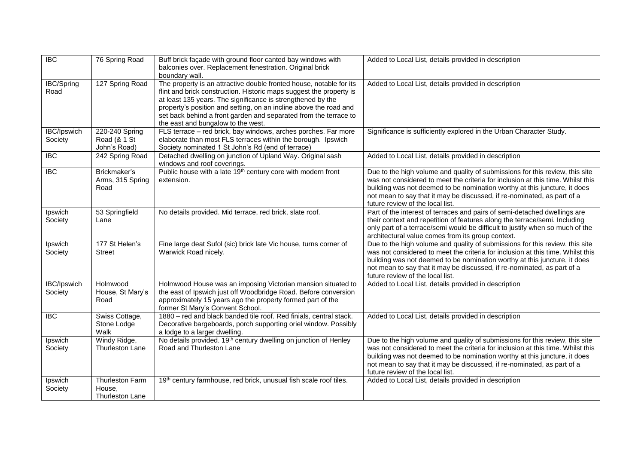| $\overline{BC}$               | 76 Spring Road                                 | Buff brick façade with ground floor canted bay windows with<br>balconies over. Replacement fenestration. Original brick<br>boundary wall.                                                                                                                                                                                                                                                | Added to Local List, details provided in description                                                                                                                                                                                                                                                                                                        |
|-------------------------------|------------------------------------------------|------------------------------------------------------------------------------------------------------------------------------------------------------------------------------------------------------------------------------------------------------------------------------------------------------------------------------------------------------------------------------------------|-------------------------------------------------------------------------------------------------------------------------------------------------------------------------------------------------------------------------------------------------------------------------------------------------------------------------------------------------------------|
| <b>IBC/Spring</b><br>Road     | 127 Spring Road                                | The property is an attractive double fronted house, notable for its<br>flint and brick construction. Historic maps suggest the property is<br>at least 135 years. The significance is strengthened by the<br>property's position and setting, on an incline above the road and<br>set back behind a front garden and separated from the terrace to<br>the east and bungalow to the west. | Added to Local List, details provided in description                                                                                                                                                                                                                                                                                                        |
| <b>IBC/Ipswich</b><br>Society | 220-240 Spring<br>Road (& 1 St<br>John's Road) | FLS terrace - red brick, bay windows, arches porches. Far more<br>elaborate than most FLS terraces within the borough. Ipswich<br>Society nominated 1 St John's Rd (end of terrace)                                                                                                                                                                                                      | Significance is sufficiently explored in the Urban Character Study.                                                                                                                                                                                                                                                                                         |
| $\overline{BC}$               | 242 Spring Road                                | Detached dwelling on junction of Upland Way. Original sash<br>windows and roof coverings.                                                                                                                                                                                                                                                                                                | Added to Local List, details provided in description                                                                                                                                                                                                                                                                                                        |
| $\overline{IBC}$              | Brickmaker's<br>Arms, 315 Spring<br>Road       | Public house with a late 19 <sup>th</sup> century core with modern front<br>extension.                                                                                                                                                                                                                                                                                                   | Due to the high volume and quality of submissions for this review, this site<br>was not considered to meet the criteria for inclusion at this time. Whilst this<br>building was not deemed to be nomination worthy at this juncture, it does<br>not mean to say that it may be discussed, if re-nominated, as part of a<br>future review of the local list. |
| Ipswich<br>Society            | 53 Springfield<br>Lane                         | No details provided. Mid terrace, red brick, slate roof.                                                                                                                                                                                                                                                                                                                                 | Part of the interest of terraces and pairs of semi-detached dwellings are<br>their context and repetition of features along the terrace/semi. Including<br>only part of a terrace/semi would be difficult to justify when so much of the<br>architectural value comes from its group context.                                                               |
| Ipswich<br>Society            | 177 St Helen's<br><b>Street</b>                | Fine large deat Sufol (sic) brick late Vic house, turns corner of<br>Warwick Road nicely.                                                                                                                                                                                                                                                                                                | Due to the high volume and quality of submissions for this review, this site<br>was not considered to meet the criteria for inclusion at this time. Whilst this<br>building was not deemed to be nomination worthy at this juncture, it does<br>not mean to say that it may be discussed, if re-nominated, as part of a<br>future review of the local list. |
| <b>IBC/Ipswich</b><br>Society | Holmwood<br>House, St Mary's<br>Road           | Holmwood House was an imposing Victorian mansion situated to<br>the east of Ipswich just off Woodbridge Road. Before conversion<br>approximately 15 years ago the property formed part of the<br>former St Mary's Convent School.                                                                                                                                                        | Added to Local List, details provided in description                                                                                                                                                                                                                                                                                                        |
| $\overline{BC}$               | Swiss Cottage,<br>Stone Lodge<br>Walk          | 1880 - red and black banded tile roof. Red finials, central stack.<br>Decorative bargeboards, porch supporting oriel window. Possibly<br>a lodge to a larger dwelling.                                                                                                                                                                                                                   | Added to Local List, details provided in description                                                                                                                                                                                                                                                                                                        |
| Ipswich<br>Society            | Windy Ridge,<br><b>Thurleston Lane</b>         | No details provided. 19 <sup>th</sup> century dwelling on junction of Henley<br>Road and Thurleston Lane                                                                                                                                                                                                                                                                                 | Due to the high volume and quality of submissions for this review, this site<br>was not considered to meet the criteria for inclusion at this time. Whilst this<br>building was not deemed to be nomination worthy at this juncture, it does<br>not mean to say that it may be discussed, if re-nominated, as part of a<br>future review of the local list. |
| Ipswich<br>Society            | Thurleston Farm<br>House,<br>Thurleston Lane   | 19th century farmhouse, red brick, unusual fish scale roof tiles.                                                                                                                                                                                                                                                                                                                        | Added to Local List, details provided in description                                                                                                                                                                                                                                                                                                        |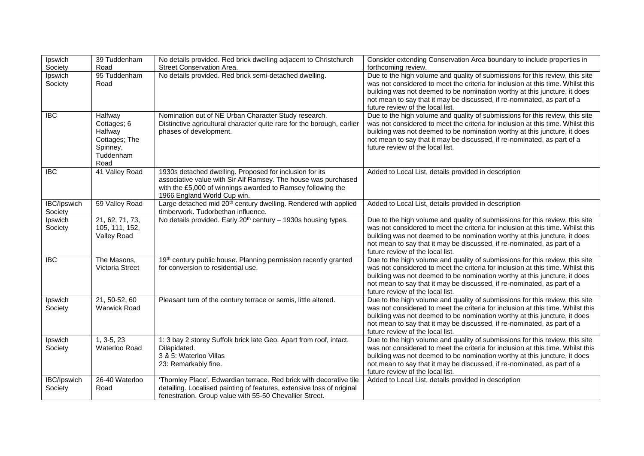| Ipswich<br>Society            | 39 Tuddenham<br>Road                                                                | No details provided. Red brick dwelling adjacent to Christchurch<br>Street Conservation Area.                                                                                                                           | Consider extending Conservation Area boundary to include properties in<br>forthcoming review.                                                                                                                                                                                                                                                               |
|-------------------------------|-------------------------------------------------------------------------------------|-------------------------------------------------------------------------------------------------------------------------------------------------------------------------------------------------------------------------|-------------------------------------------------------------------------------------------------------------------------------------------------------------------------------------------------------------------------------------------------------------------------------------------------------------------------------------------------------------|
| Ipswich<br>Society            | 95 Tuddenham<br>Road                                                                | No details provided. Red brick semi-detached dwelling.                                                                                                                                                                  | Due to the high volume and quality of submissions for this review, this site<br>was not considered to meet the criteria for inclusion at this time. Whilst this<br>building was not deemed to be nomination worthy at this juncture, it does<br>not mean to say that it may be discussed, if re-nominated, as part of a<br>future review of the local list. |
| <b>IBC</b>                    | Halfway<br>Cottages; 6<br>Halfway<br>Cottages; The<br>Spinney,<br>Tuddenham<br>Road | Nomination out of NE Urban Character Study research.<br>Distinctive agricultural character quite rare for the borough, earlier<br>phases of development.                                                                | Due to the high volume and quality of submissions for this review, this site<br>was not considered to meet the criteria for inclusion at this time. Whilst this<br>building was not deemed to be nomination worthy at this juncture, it does<br>not mean to say that it may be discussed, if re-nominated, as part of a<br>future review of the local list. |
| <b>IBC</b>                    | 41 Valley Road                                                                      | 1930s detached dwelling. Proposed for inclusion for its<br>associative value with Sir Alf Ramsey. The house was purchased<br>with the £5,000 of winnings awarded to Ramsey following the<br>1966 England World Cup win. | Added to Local List, details provided in description                                                                                                                                                                                                                                                                                                        |
| IBC/Ipswich<br>Society        | 59 Valley Road                                                                      | Large detached mid 20 <sup>th</sup> century dwelling. Rendered with applied<br>timberwork. Tudorbethan influence.                                                                                                       | Added to Local List, details provided in description                                                                                                                                                                                                                                                                                                        |
| Ipswich<br>Society            | 21, 62, 71, 73,<br>105, 111, 152,<br><b>Valley Road</b>                             | No details provided. Early 20 <sup>th</sup> century - 1930s housing types.                                                                                                                                              | Due to the high volume and quality of submissions for this review, this site<br>was not considered to meet the criteria for inclusion at this time. Whilst this<br>building was not deemed to be nomination worthy at this juncture, it does<br>not mean to say that it may be discussed, if re-nominated, as part of a<br>future review of the local list. |
| <b>IBC</b>                    | The Masons,<br>Victoria Street                                                      | 19th century public house. Planning permission recently granted<br>for conversion to residential use.                                                                                                                   | Due to the high volume and quality of submissions for this review, this site<br>was not considered to meet the criteria for inclusion at this time. Whilst this<br>building was not deemed to be nomination worthy at this juncture, it does<br>not mean to say that it may be discussed, if re-nominated, as part of a<br>future review of the local list. |
| Ipswich<br>Society            | 21, 50-52, 60<br><b>Warwick Road</b>                                                | Pleasant turn of the century terrace or semis, little altered.                                                                                                                                                          | Due to the high volume and quality of submissions for this review, this site<br>was not considered to meet the criteria for inclusion at this time. Whilst this<br>building was not deemed to be nomination worthy at this juncture, it does<br>not mean to say that it may be discussed, if re-nominated, as part of a<br>future review of the local list. |
| Ipswich<br>Society            | $1, 3-5, 23$<br>Waterloo Road                                                       | 1: 3 bay 2 storey Suffolk brick late Geo. Apart from roof, intact.<br>Dilapidated.<br>3 & 5: Waterloo Villas<br>23: Remarkably fine.                                                                                    | Due to the high volume and quality of submissions for this review, this site<br>was not considered to meet the criteria for inclusion at this time. Whilst this<br>building was not deemed to be nomination worthy at this juncture, it does<br>not mean to say that it may be discussed, if re-nominated, as part of a<br>future review of the local list. |
| <b>IBC/Ipswich</b><br>Society | 26-40 Waterloo<br>Road                                                              | 'Thornley Place'. Edwardian terrace. Red brick with decorative tile<br>detailing. Localised painting of features, extensive loss of original<br>fenestration. Group value with 55-50 Chevallier Street.                 | Added to Local List, details provided in description                                                                                                                                                                                                                                                                                                        |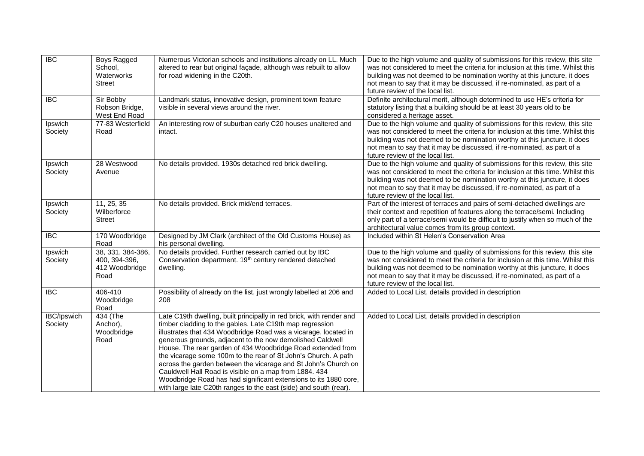| $\overline{IBC}$              | Boys Ragged<br>School,<br>Waterworks<br>Street               | Numerous Victorian schools and institutions already on LL. Much<br>altered to rear but original façade, although was rebuilt to allow<br>for road widening in the C20th.                                                                                                                                                                                                                                                                                                                                                                                                                                                                                               | Due to the high volume and quality of submissions for this review, this site<br>was not considered to meet the criteria for inclusion at this time. Whilst this<br>building was not deemed to be nomination worthy at this juncture, it does<br>not mean to say that it may be discussed, if re-nominated, as part of a<br>future review of the local list. |
|-------------------------------|--------------------------------------------------------------|------------------------------------------------------------------------------------------------------------------------------------------------------------------------------------------------------------------------------------------------------------------------------------------------------------------------------------------------------------------------------------------------------------------------------------------------------------------------------------------------------------------------------------------------------------------------------------------------------------------------------------------------------------------------|-------------------------------------------------------------------------------------------------------------------------------------------------------------------------------------------------------------------------------------------------------------------------------------------------------------------------------------------------------------|
| <b>IBC</b>                    | Sir Bobby<br>Robson Bridge,<br>West End Road                 | Landmark status, innovative design, prominent town feature<br>visible in several views around the river.                                                                                                                                                                                                                                                                                                                                                                                                                                                                                                                                                               | Definite architectural merit, although determined to use HE's criteria for<br>statutory listing that a building should be at least 30 years old to be<br>considered a heritage asset.                                                                                                                                                                       |
| Ipswich<br>Society            | 77-83 Westerfield<br>Road                                    | An interesting row of suburban early C20 houses unaltered and<br>intact.                                                                                                                                                                                                                                                                                                                                                                                                                                                                                                                                                                                               | Due to the high volume and quality of submissions for this review, this site<br>was not considered to meet the criteria for inclusion at this time. Whilst this<br>building was not deemed to be nomination worthy at this juncture, it does<br>not mean to say that it may be discussed, if re-nominated, as part of a<br>future review of the local list. |
| Ipswich<br>Society            | 28 Westwood<br>Avenue                                        | No details provided. 1930s detached red brick dwelling.                                                                                                                                                                                                                                                                                                                                                                                                                                                                                                                                                                                                                | Due to the high volume and quality of submissions for this review, this site<br>was not considered to meet the criteria for inclusion at this time. Whilst this<br>building was not deemed to be nomination worthy at this juncture, it does<br>not mean to say that it may be discussed, if re-nominated, as part of a<br>future review of the local list. |
| Ipswich<br>Society            | 11, 25, 35<br>Wilberforce<br><b>Street</b>                   | No details provided. Brick mid/end terraces.                                                                                                                                                                                                                                                                                                                                                                                                                                                                                                                                                                                                                           | Part of the interest of terraces and pairs of semi-detached dwellings are<br>their context and repetition of features along the terrace/semi. Including<br>only part of a terrace/semi would be difficult to justify when so much of the<br>architectural value comes from its group context.                                                               |
| <b>IBC</b>                    | 170 Woodbridge<br>Road                                       | Designed by JM Clark (architect of the Old Customs House) as<br>his personal dwelling.                                                                                                                                                                                                                                                                                                                                                                                                                                                                                                                                                                                 | Included within St Helen's Conservation Area                                                                                                                                                                                                                                                                                                                |
| Ipswich<br>Society            | 38, 331, 384-386,<br>400, 394-396,<br>412 Woodbridge<br>Road | No details provided. Further research carried out by IBC<br>Conservation department. 19 <sup>th</sup> century rendered detached<br>dwelling.                                                                                                                                                                                                                                                                                                                                                                                                                                                                                                                           | Due to the high volume and quality of submissions for this review, this site<br>was not considered to meet the criteria for inclusion at this time. Whilst this<br>building was not deemed to be nomination worthy at this juncture, it does<br>not mean to say that it may be discussed, if re-nominated, as part of a<br>future review of the local list. |
| <b>IBC</b>                    | 406-410<br>Woodbridge<br>Road                                | Possibility of already on the list, just wrongly labelled at 206 and<br>208                                                                                                                                                                                                                                                                                                                                                                                                                                                                                                                                                                                            | Added to Local List, details provided in description                                                                                                                                                                                                                                                                                                        |
| <b>IBC/Ipswich</b><br>Society | 434 (The<br>Anchor),<br>Woodbridge<br>Road                   | Late C19th dwelling, built principally in red brick, with render and<br>timber cladding to the gables. Late C19th map regression<br>illustrates that 434 Woodbridge Road was a vicarage, located in<br>generous grounds, adjacent to the now demolished Caldwell<br>House. The rear garden of 434 Woodbridge Road extended from<br>the vicarage some 100m to the rear of St John's Church. A path<br>across the garden between the vicarage and St John's Church on<br>Cauldwell Hall Road is visible on a map from 1884. 434<br>Woodbridge Road has had significant extensions to its 1880 core,<br>with large late C20th ranges to the east (side) and south (rear). | Added to Local List, details provided in description                                                                                                                                                                                                                                                                                                        |